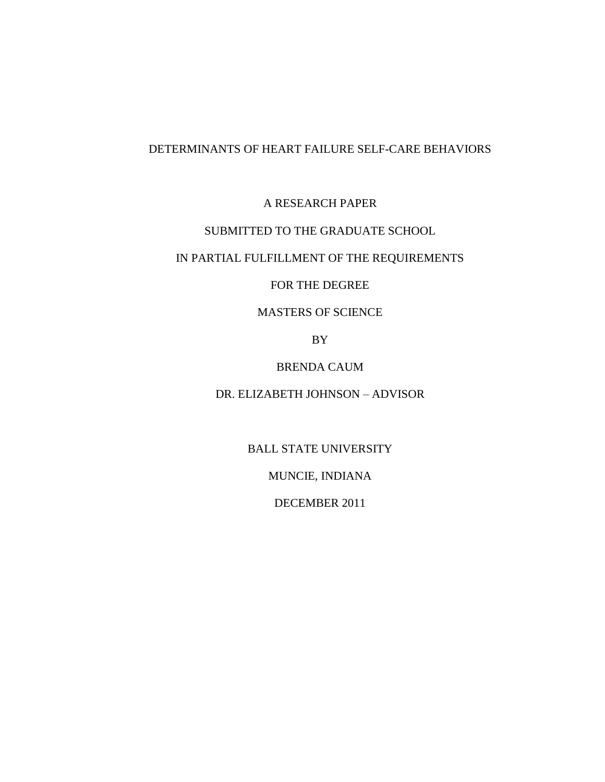# DETERMINANTS OF HEART FAILURE SELF-CARE BEHAVIORS

A RESEARCH PAPER

# SUBMITTED TO THE GRADUATE SCHOOL

# IN PARTIAL FULFILLMENT OF THE REQUIREMENTS

# FOR THE DEGREE

# MASTERS OF SCIENCE

BY

# BRENDA CAUM

# DR. ELIZABETH JOHNSON – ADVISOR

BALL STATE UNIVERSITY

MUNCIE, INDIANA

DECEMBER 2011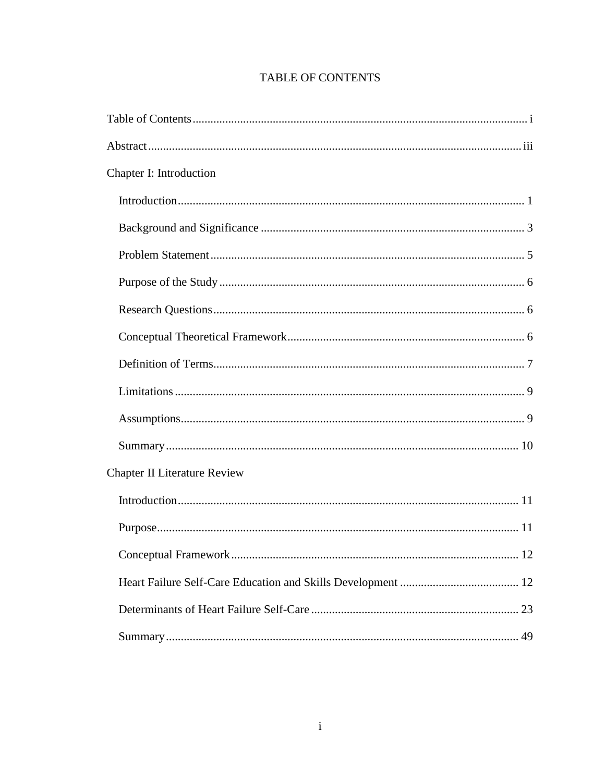| Chapter I: Introduction             |
|-------------------------------------|
|                                     |
|                                     |
|                                     |
|                                     |
|                                     |
|                                     |
|                                     |
|                                     |
|                                     |
|                                     |
| <b>Chapter II Literature Review</b> |
|                                     |
|                                     |
| 12                                  |
|                                     |
|                                     |
|                                     |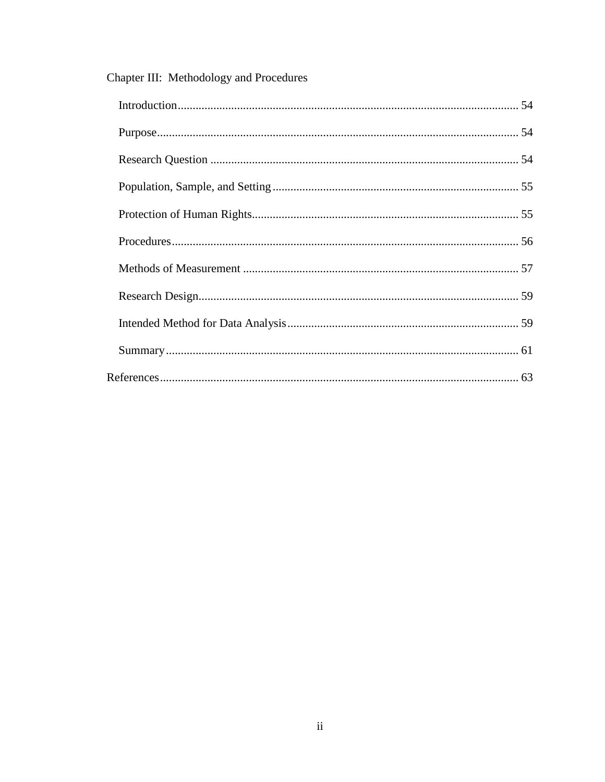| Chapter III: Methodology and Procedures |  |
|-----------------------------------------|--|
|                                         |  |
|                                         |  |
|                                         |  |
|                                         |  |
|                                         |  |
|                                         |  |
|                                         |  |
|                                         |  |
|                                         |  |
|                                         |  |
|                                         |  |

#### $\frac{1}{2}$  $\overline{C1}$  $\overline{\mathbf{r}}$  $\ddot{\phantom{a}}$  $\overline{1}$  $\overline{1}$  $\mathbf{I}$  $\overline{ }$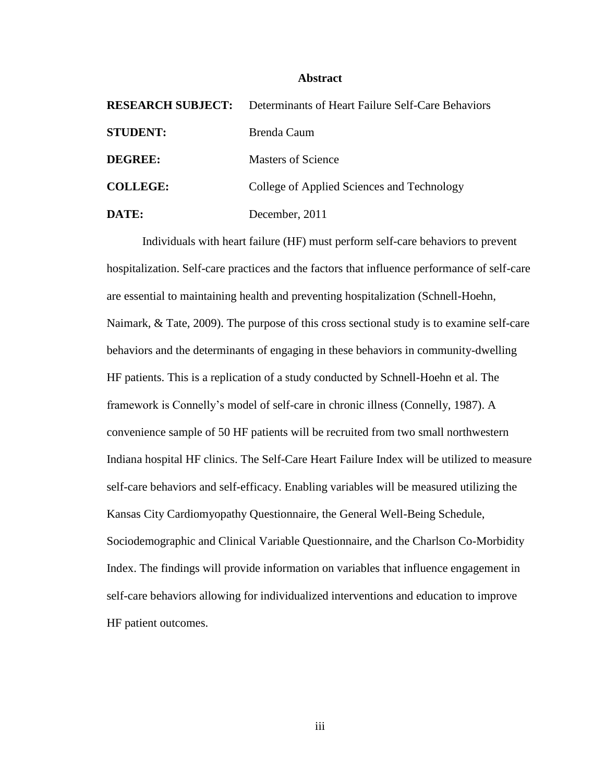#### **Abstract**

| <b>RESEARCH SUBJECT:</b> | Determinants of Heart Failure Self-Care Behaviors |
|--------------------------|---------------------------------------------------|
| <b>STUDENT:</b>          | Brenda Caum                                       |
| <b>DEGREE:</b>           | <b>Masters of Science</b>                         |
| <b>COLLEGE:</b>          | College of Applied Sciences and Technology        |
| DATE:                    | December, 2011                                    |

Individuals with heart failure (HF) must perform self-care behaviors to prevent hospitalization. Self-care practices and the factors that influence performance of self-care are essential to maintaining health and preventing hospitalization (Schnell-Hoehn, Naimark, & Tate, 2009). The purpose of this cross sectional study is to examine self-care behaviors and the determinants of engaging in these behaviors in community-dwelling HF patients. This is a replication of a study conducted by Schnell-Hoehn et al. The framework is Connelly's model of self-care in chronic illness (Connelly, 1987). A convenience sample of 50 HF patients will be recruited from two small northwestern Indiana hospital HF clinics. The Self-Care Heart Failure Index will be utilized to measure self-care behaviors and self-efficacy. Enabling variables will be measured utilizing the Kansas City Cardiomyopathy Questionnaire, the General Well-Being Schedule, Sociodemographic and Clinical Variable Questionnaire, and the Charlson Co-Morbidity Index. The findings will provide information on variables that influence engagement in self-care behaviors allowing for individualized interventions and education to improve HF patient outcomes.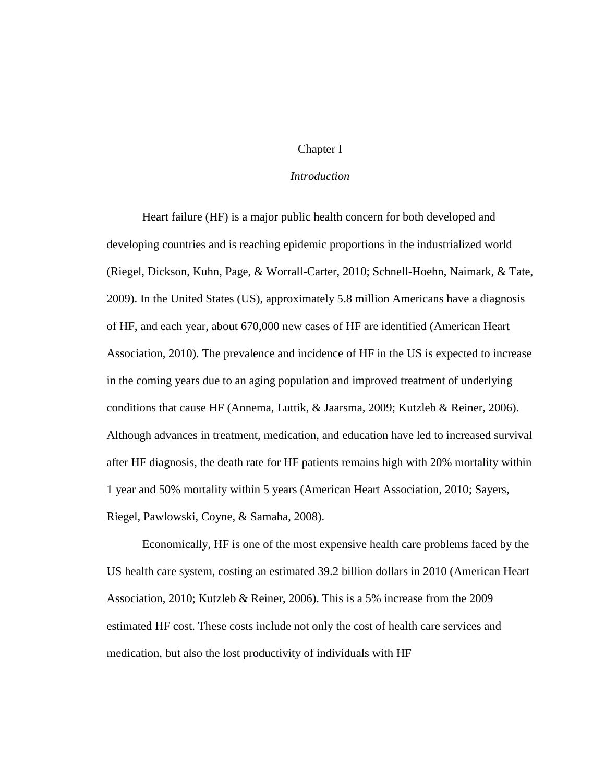## Chapter I

## *Introduction*

Heart failure (HF) is a major public health concern for both developed and developing countries and is reaching epidemic proportions in the industrialized world (Riegel, Dickson, Kuhn, Page, & Worrall-Carter, 2010; Schnell-Hoehn, Naimark, & Tate, 2009). In the United States (US), approximately 5.8 million Americans have a diagnosis of HF, and each year, about 670,000 new cases of HF are identified (American Heart Association, 2010). The prevalence and incidence of HF in the US is expected to increase in the coming years due to an aging population and improved treatment of underlying conditions that cause HF (Annema, Luttik, & Jaarsma, 2009; Kutzleb & Reiner, 2006). Although advances in treatment, medication, and education have led to increased survival after HF diagnosis, the death rate for HF patients remains high with 20% mortality within 1 year and 50% mortality within 5 years (American Heart Association, 2010; Sayers, Riegel, Pawlowski, Coyne, & Samaha, 2008).

Economically, HF is one of the most expensive health care problems faced by the US health care system, costing an estimated 39.2 billion dollars in 2010 (American Heart Association, 2010; Kutzleb & Reiner, 2006). This is a 5% increase from the 2009 estimated HF cost. These costs include not only the cost of health care services and medication, but also the lost productivity of individuals with HF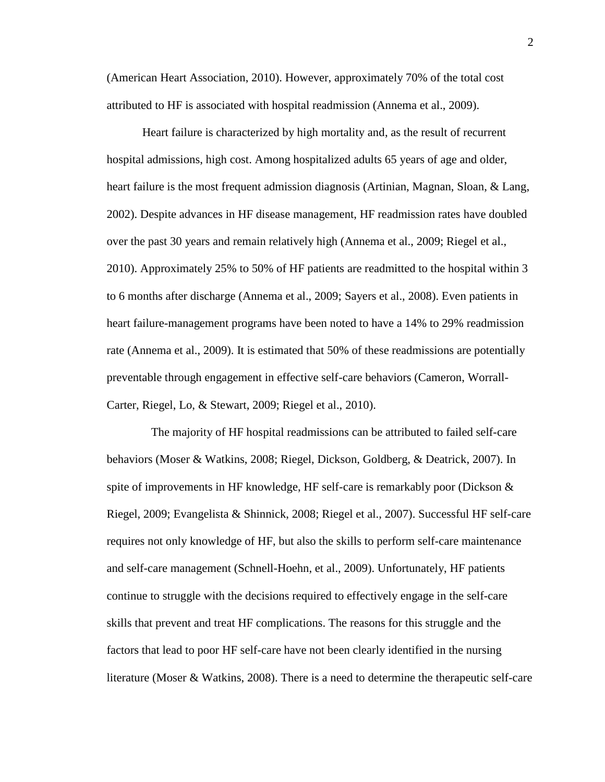(American Heart Association, 2010). However, approximately 70% of the total cost attributed to HF is associated with hospital readmission (Annema et al., 2009).

Heart failure is characterized by high mortality and, as the result of recurrent hospital admissions, high cost. Among hospitalized adults 65 years of age and older, heart failure is the most frequent admission diagnosis (Artinian, Magnan, Sloan, & Lang, 2002). Despite advances in HF disease management, HF readmission rates have doubled over the past 30 years and remain relatively high (Annema et al., 2009; Riegel et al., 2010). Approximately 25% to 50% of HF patients are readmitted to the hospital within 3 to 6 months after discharge (Annema et al., 2009; Sayers et al., 2008). Even patients in heart failure-management programs have been noted to have a 14% to 29% readmission rate (Annema et al., 2009). It is estimated that 50% of these readmissions are potentially preventable through engagement in effective self-care behaviors (Cameron, Worrall-Carter, Riegel, Lo, & Stewart, 2009; Riegel et al., 2010).

 The majority of HF hospital readmissions can be attributed to failed self-care behaviors (Moser & Watkins, 2008; Riegel, Dickson, Goldberg, & Deatrick, 2007). In spite of improvements in HF knowledge, HF self-care is remarkably poor (Dickson  $\&$ Riegel, 2009; Evangelista & Shinnick, 2008; Riegel et al., 2007). Successful HF self-care requires not only knowledge of HF, but also the skills to perform self-care maintenance and self-care management (Schnell-Hoehn, et al., 2009). Unfortunately, HF patients continue to struggle with the decisions required to effectively engage in the self-care skills that prevent and treat HF complications. The reasons for this struggle and the factors that lead to poor HF self-care have not been clearly identified in the nursing literature (Moser & Watkins, 2008). There is a need to determine the therapeutic self-care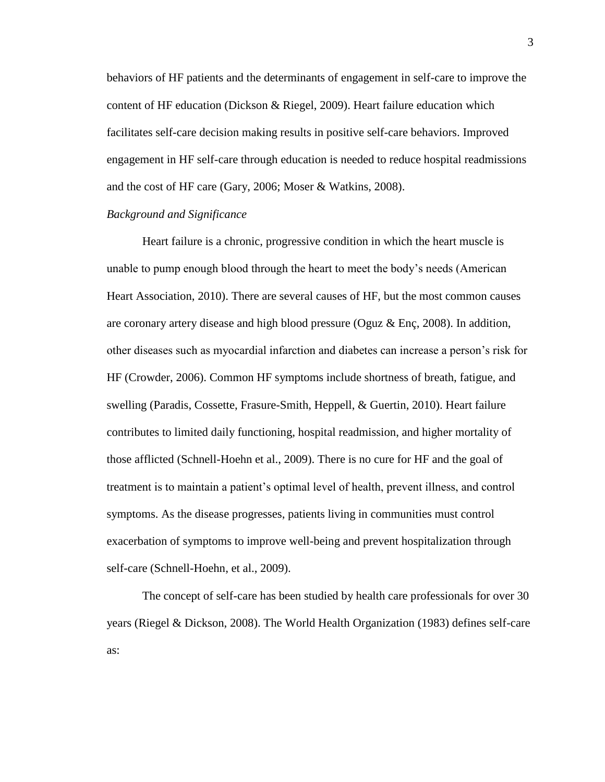behaviors of HF patients and the determinants of engagement in self-care to improve the content of HF education (Dickson & Riegel, 2009). Heart failure education which facilitates self-care decision making results in positive self-care behaviors. Improved engagement in HF self-care through education is needed to reduce hospital readmissions and the cost of HF care (Gary, 2006; Moser & Watkins, 2008).

#### *Background and Significance*

Heart failure is a chronic, progressive condition in which the heart muscle is unable to pump enough blood through the heart to meet the body's needs (American Heart Association, 2010). There are several causes of HF, but the most common causes are coronary artery disease and high blood pressure (Oguz & Enç, 2008). In addition, other diseases such as myocardial infarction and diabetes can increase a person's risk for HF (Crowder, 2006). Common HF symptoms include shortness of breath, fatigue, and swelling (Paradis, Cossette, Frasure-Smith, Heppell, & Guertin, 2010). Heart failure contributes to limited daily functioning, hospital readmission, and higher mortality of those afflicted (Schnell-Hoehn et al., 2009). There is no cure for HF and the goal of treatment is to maintain a patient's optimal level of health, prevent illness, and control symptoms. As the disease progresses, patients living in communities must control exacerbation of symptoms to improve well-being and prevent hospitalization through self-care (Schnell-Hoehn, et al., 2009).

The concept of self-care has been studied by health care professionals for over 30 years (Riegel & Dickson, 2008). The World Health Organization (1983) defines self-care as: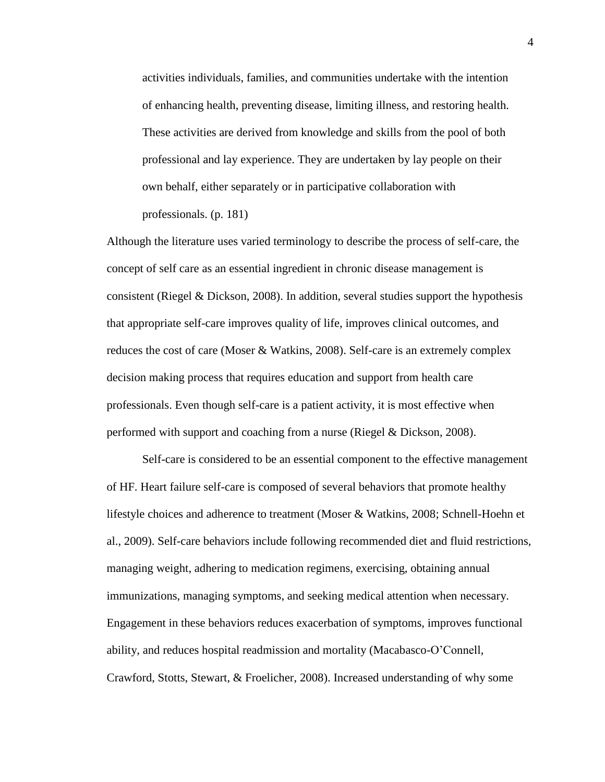activities individuals, families, and communities undertake with the intention of enhancing health, preventing disease, limiting illness, and restoring health. These activities are derived from knowledge and skills from the pool of both professional and lay experience. They are undertaken by lay people on their own behalf, either separately or in participative collaboration with professionals. (p. 181)

Although the literature uses varied terminology to describe the process of self-care, the concept of self care as an essential ingredient in chronic disease management is consistent (Riegel & Dickson, 2008). In addition, several studies support the hypothesis that appropriate self-care improves quality of life, improves clinical outcomes, and reduces the cost of care (Moser & Watkins, 2008). Self-care is an extremely complex decision making process that requires education and support from health care professionals. Even though self-care is a patient activity, it is most effective when performed with support and coaching from a nurse (Riegel & Dickson, 2008).

Self-care is considered to be an essential component to the effective management of HF. Heart failure self-care is composed of several behaviors that promote healthy lifestyle choices and adherence to treatment (Moser & Watkins, 2008; Schnell-Hoehn et al., 2009). Self-care behaviors include following recommended diet and fluid restrictions, managing weight, adhering to medication regimens, exercising, obtaining annual immunizations, managing symptoms, and seeking medical attention when necessary. Engagement in these behaviors reduces exacerbation of symptoms, improves functional ability, and reduces hospital readmission and mortality (Macabasco-O'Connell, Crawford, Stotts, Stewart, & Froelicher, 2008). Increased understanding of why some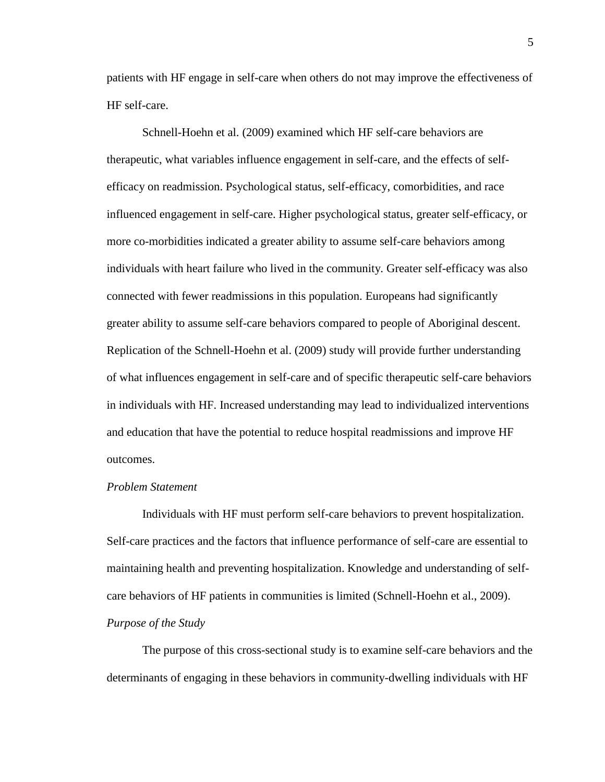patients with HF engage in self-care when others do not may improve the effectiveness of HF self-care.

Schnell-Hoehn et al. (2009) examined which HF self-care behaviors are therapeutic, what variables influence engagement in self-care, and the effects of selfefficacy on readmission. Psychological status, self-efficacy, comorbidities, and race influenced engagement in self-care. Higher psychological status, greater self-efficacy, or more co-morbidities indicated a greater ability to assume self-care behaviors among individuals with heart failure who lived in the community. Greater self-efficacy was also connected with fewer readmissions in this population. Europeans had significantly greater ability to assume self-care behaviors compared to people of Aboriginal descent. Replication of the Schnell-Hoehn et al. (2009) study will provide further understanding of what influences engagement in self-care and of specific therapeutic self-care behaviors in individuals with HF. Increased understanding may lead to individualized interventions and education that have the potential to reduce hospital readmissions and improve HF outcomes.

### *Problem Statement*

Individuals with HF must perform self-care behaviors to prevent hospitalization. Self-care practices and the factors that influence performance of self-care are essential to maintaining health and preventing hospitalization. Knowledge and understanding of selfcare behaviors of HF patients in communities is limited (Schnell-Hoehn et al., 2009). *Purpose of the Study*

The purpose of this cross-sectional study is to examine self-care behaviors and the determinants of engaging in these behaviors in community-dwelling individuals with HF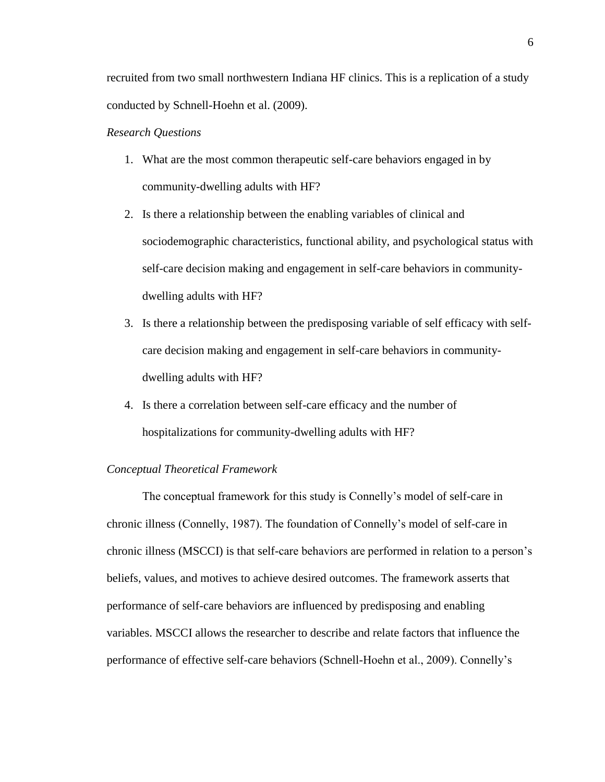recruited from two small northwestern Indiana HF clinics. This is a replication of a study conducted by Schnell-Hoehn et al. (2009).

## *Research Questions*

- 1. What are the most common therapeutic self-care behaviors engaged in by community-dwelling adults with HF?
- 2. Is there a relationship between the enabling variables of clinical and sociodemographic characteristics, functional ability, and psychological status with self-care decision making and engagement in self-care behaviors in communitydwelling adults with HF?
- 3. Is there a relationship between the predisposing variable of self efficacy with selfcare decision making and engagement in self-care behaviors in communitydwelling adults with HF?
- 4. Is there a correlation between self-care efficacy and the number of hospitalizations for community-dwelling adults with HF?

#### *Conceptual Theoretical Framework*

The conceptual framework for this study is Connelly's model of self-care in chronic illness (Connelly, 1987). The foundation of Connelly's model of self-care in chronic illness (MSCCI) is that self-care behaviors are performed in relation to a person's beliefs, values, and motives to achieve desired outcomes. The framework asserts that performance of self-care behaviors are influenced by predisposing and enabling variables. MSCCI allows the researcher to describe and relate factors that influence the performance of effective self-care behaviors (Schnell-Hoehn et al., 2009). Connelly's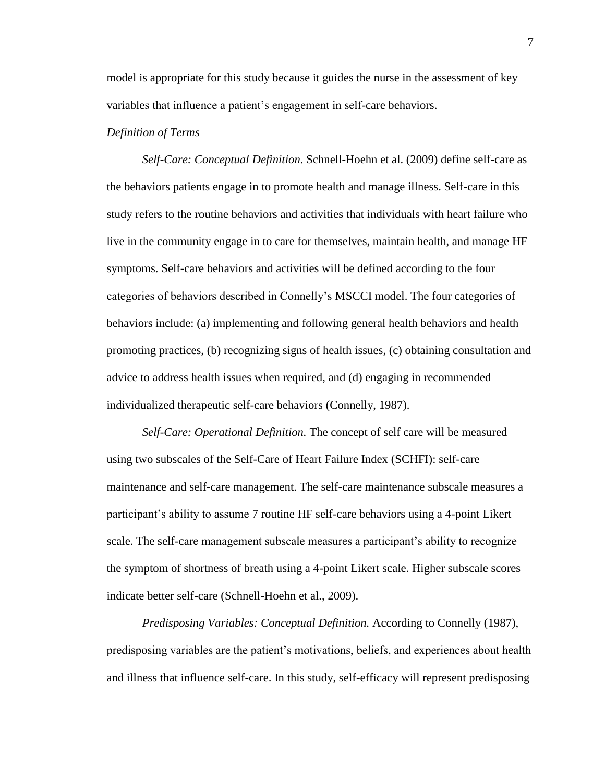model is appropriate for this study because it guides the nurse in the assessment of key variables that influence a patient's engagement in self-care behaviors.

## *Definition of Terms*

*Self-Care: Conceptual Definition.* Schnell-Hoehn et al. (2009) define self-care as the behaviors patients engage in to promote health and manage illness. Self-care in this study refers to the routine behaviors and activities that individuals with heart failure who live in the community engage in to care for themselves, maintain health, and manage HF symptoms. Self-care behaviors and activities will be defined according to the four categories of behaviors described in Connelly's MSCCI model. The four categories of behaviors include: (a) implementing and following general health behaviors and health promoting practices, (b) recognizing signs of health issues, (c) obtaining consultation and advice to address health issues when required, and (d) engaging in recommended individualized therapeutic self-care behaviors (Connelly, 1987).

*Self-Care: Operational Definition.* The concept of self care will be measured using two subscales of the Self-Care of Heart Failure Index (SCHFI): self-care maintenance and self-care management. The self-care maintenance subscale measures a participant's ability to assume 7 routine HF self-care behaviors using a 4-point Likert scale. The self-care management subscale measures a participant's ability to recognize the symptom of shortness of breath using a 4-point Likert scale. Higher subscale scores indicate better self-care (Schnell-Hoehn et al., 2009).

*Predisposing Variables: Conceptual Definition.* According to Connelly (1987), predisposing variables are the patient's motivations, beliefs, and experiences about health and illness that influence self-care. In this study, self-efficacy will represent predisposing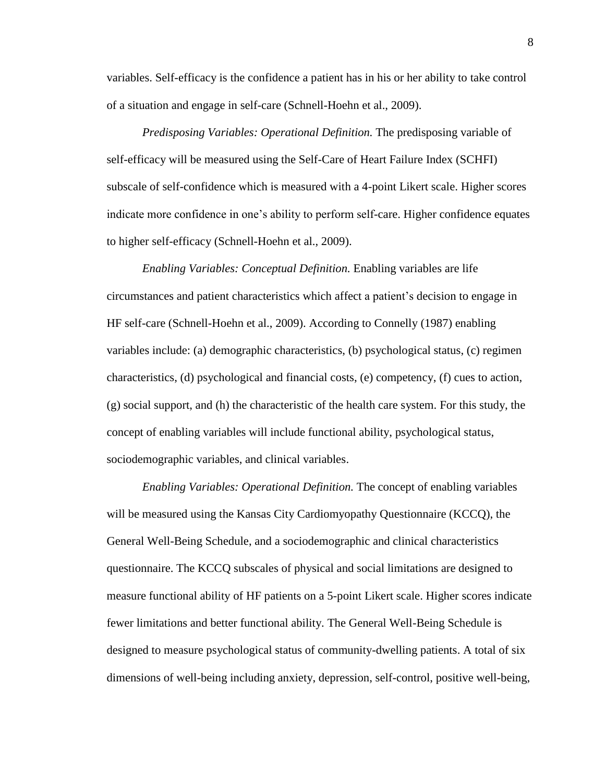variables. Self-efficacy is the confidence a patient has in his or her ability to take control of a situation and engage in self-care (Schnell-Hoehn et al., 2009).

*Predisposing Variables: Operational Definition.* The predisposing variable of self-efficacy will be measured using the Self-Care of Heart Failure Index (SCHFI) subscale of self-confidence which is measured with a 4-point Likert scale. Higher scores indicate more confidence in one's ability to perform self-care. Higher confidence equates to higher self-efficacy (Schnell-Hoehn et al., 2009).

*Enabling Variables: Conceptual Definition.* Enabling variables are life circumstances and patient characteristics which affect a patient's decision to engage in HF self-care (Schnell-Hoehn et al., 2009). According to Connelly (1987) enabling variables include: (a) demographic characteristics, (b) psychological status, (c) regimen characteristics, (d) psychological and financial costs, (e) competency, (f) cues to action, (g) social support, and (h) the characteristic of the health care system. For this study, the concept of enabling variables will include functional ability, psychological status, sociodemographic variables, and clinical variables.

*Enabling Variables: Operational Definition.* The concept of enabling variables will be measured using the Kansas City Cardiomyopathy Questionnaire (KCCQ), the General Well-Being Schedule, and a sociodemographic and clinical characteristics questionnaire. The KCCQ subscales of physical and social limitations are designed to measure functional ability of HF patients on a 5-point Likert scale. Higher scores indicate fewer limitations and better functional ability. The General Well-Being Schedule is designed to measure psychological status of community-dwelling patients. A total of six dimensions of well-being including anxiety, depression, self-control, positive well-being,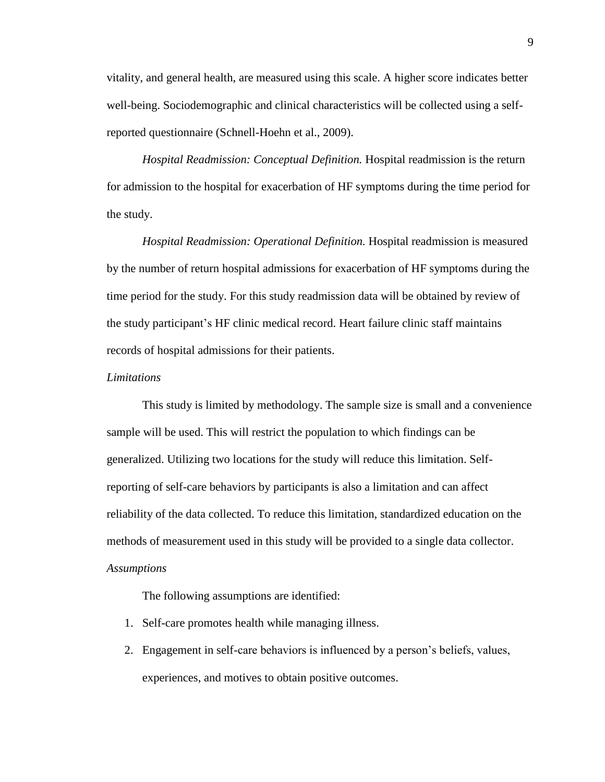vitality, and general health, are measured using this scale. A higher score indicates better well-being. Sociodemographic and clinical characteristics will be collected using a selfreported questionnaire (Schnell-Hoehn et al., 2009).

*Hospital Readmission: Conceptual Definition.* Hospital readmission is the return for admission to the hospital for exacerbation of HF symptoms during the time period for the study.

*Hospital Readmission: Operational Definition.* Hospital readmission is measured by the number of return hospital admissions for exacerbation of HF symptoms during the time period for the study. For this study readmission data will be obtained by review of the study participant's HF clinic medical record. Heart failure clinic staff maintains records of hospital admissions for their patients.

#### *Limitations*

This study is limited by methodology. The sample size is small and a convenience sample will be used. This will restrict the population to which findings can be generalized. Utilizing two locations for the study will reduce this limitation. Selfreporting of self-care behaviors by participants is also a limitation and can affect reliability of the data collected. To reduce this limitation, standardized education on the methods of measurement used in this study will be provided to a single data collector. *Assumptions*

The following assumptions are identified:

- 1. Self-care promotes health while managing illness.
- 2. Engagement in self-care behaviors is influenced by a person's beliefs, values, experiences, and motives to obtain positive outcomes.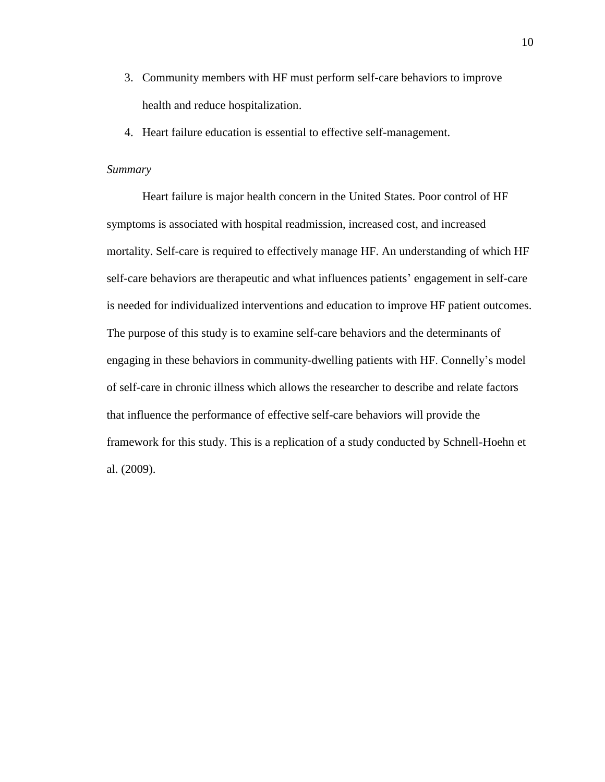- 3. Community members with HF must perform self-care behaviors to improve health and reduce hospitalization.
- 4. Heart failure education is essential to effective self-management.

#### *Summary*

Heart failure is major health concern in the United States. Poor control of HF symptoms is associated with hospital readmission, increased cost, and increased mortality. Self-care is required to effectively manage HF. An understanding of which HF self-care behaviors are therapeutic and what influences patients' engagement in self-care is needed for individualized interventions and education to improve HF patient outcomes. The purpose of this study is to examine self-care behaviors and the determinants of engaging in these behaviors in community-dwelling patients with HF. Connelly's model of self-care in chronic illness which allows the researcher to describe and relate factors that influence the performance of effective self-care behaviors will provide the framework for this study. This is a replication of a study conducted by Schnell-Hoehn et al. (2009).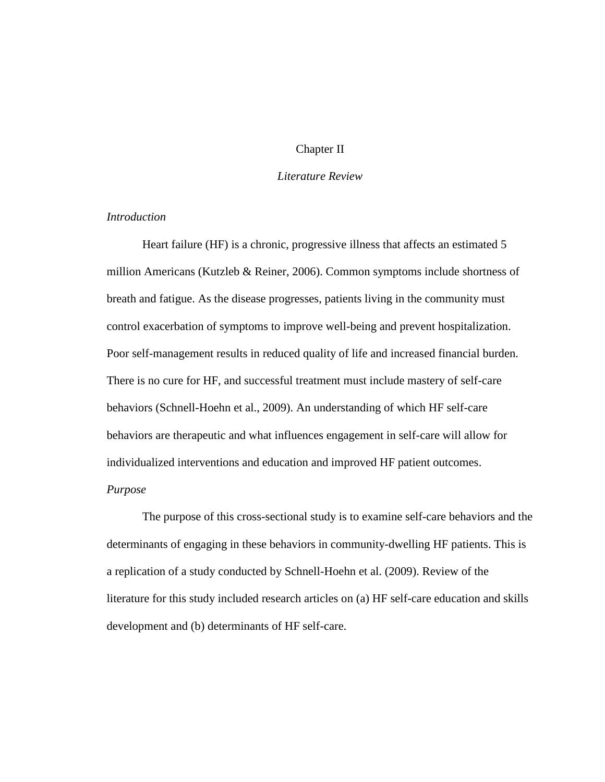## Chapter II

# *Literature Review*

# *Introduction*

Heart failure (HF) is a chronic, progressive illness that affects an estimated 5 million Americans (Kutzleb & Reiner, 2006). Common symptoms include shortness of breath and fatigue. As the disease progresses, patients living in the community must control exacerbation of symptoms to improve well-being and prevent hospitalization. Poor self-management results in reduced quality of life and increased financial burden. There is no cure for HF, and successful treatment must include mastery of self-care behaviors (Schnell-Hoehn et al., 2009). An understanding of which HF self-care behaviors are therapeutic and what influences engagement in self-care will allow for individualized interventions and education and improved HF patient outcomes. *Purpose*

The purpose of this cross-sectional study is to examine self-care behaviors and the determinants of engaging in these behaviors in community-dwelling HF patients. This is a replication of a study conducted by Schnell-Hoehn et al. (2009). Review of the literature for this study included research articles on (a) HF self-care education and skills development and (b) determinants of HF self-care.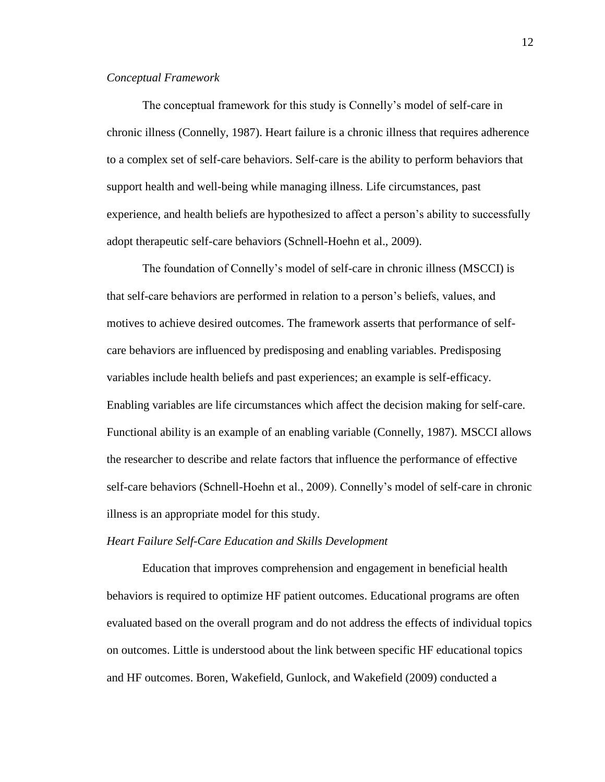## *Conceptual Framework*

The conceptual framework for this study is Connelly's model of self-care in chronic illness (Connelly, 1987). Heart failure is a chronic illness that requires adherence to a complex set of self-care behaviors. Self-care is the ability to perform behaviors that support health and well-being while managing illness. Life circumstances, past experience, and health beliefs are hypothesized to affect a person's ability to successfully adopt therapeutic self-care behaviors (Schnell-Hoehn et al., 2009).

The foundation of Connelly's model of self-care in chronic illness (MSCCI) is that self-care behaviors are performed in relation to a person's beliefs, values, and motives to achieve desired outcomes. The framework asserts that performance of selfcare behaviors are influenced by predisposing and enabling variables. Predisposing variables include health beliefs and past experiences; an example is self-efficacy. Enabling variables are life circumstances which affect the decision making for self-care. Functional ability is an example of an enabling variable (Connelly, 1987). MSCCI allows the researcher to describe and relate factors that influence the performance of effective self-care behaviors (Schnell-Hoehn et al., 2009). Connelly's model of self-care in chronic illness is an appropriate model for this study.

#### *Heart Failure Self-Care Education and Skills Development*

Education that improves comprehension and engagement in beneficial health behaviors is required to optimize HF patient outcomes. Educational programs are often evaluated based on the overall program and do not address the effects of individual topics on outcomes. Little is understood about the link between specific HF educational topics and HF outcomes. Boren, Wakefield, Gunlock, and Wakefield (2009) conducted a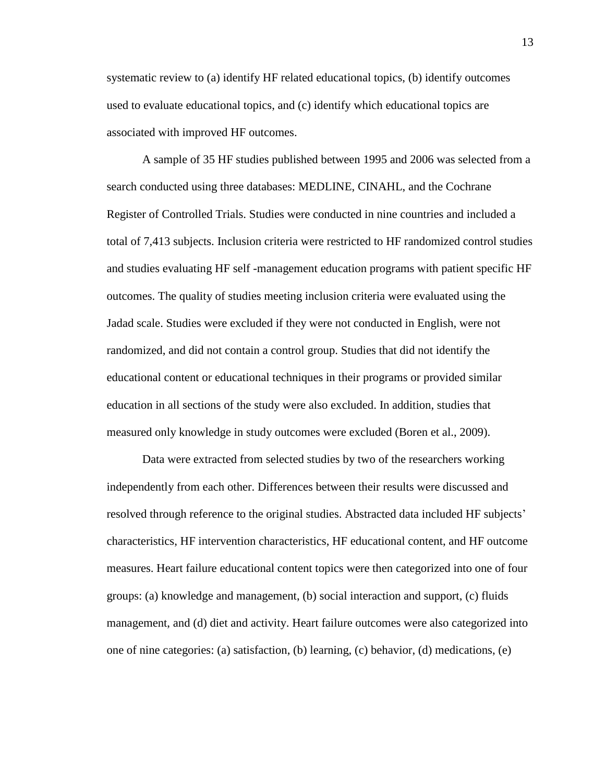systematic review to (a) identify HF related educational topics, (b) identify outcomes used to evaluate educational topics, and (c) identify which educational topics are associated with improved HF outcomes.

A sample of 35 HF studies published between 1995 and 2006 was selected from a search conducted using three databases: MEDLINE, CINAHL, and the Cochrane Register of Controlled Trials. Studies were conducted in nine countries and included a total of 7,413 subjects. Inclusion criteria were restricted to HF randomized control studies and studies evaluating HF self -management education programs with patient specific HF outcomes. The quality of studies meeting inclusion criteria were evaluated using the Jadad scale. Studies were excluded if they were not conducted in English, were not randomized, and did not contain a control group. Studies that did not identify the educational content or educational techniques in their programs or provided similar education in all sections of the study were also excluded. In addition, studies that measured only knowledge in study outcomes were excluded (Boren et al., 2009).

Data were extracted from selected studies by two of the researchers working independently from each other. Differences between their results were discussed and resolved through reference to the original studies. Abstracted data included HF subjects' characteristics, HF intervention characteristics, HF educational content, and HF outcome measures. Heart failure educational content topics were then categorized into one of four groups: (a) knowledge and management, (b) social interaction and support, (c) fluids management, and (d) diet and activity. Heart failure outcomes were also categorized into one of nine categories: (a) satisfaction, (b) learning, (c) behavior, (d) medications, (e)

13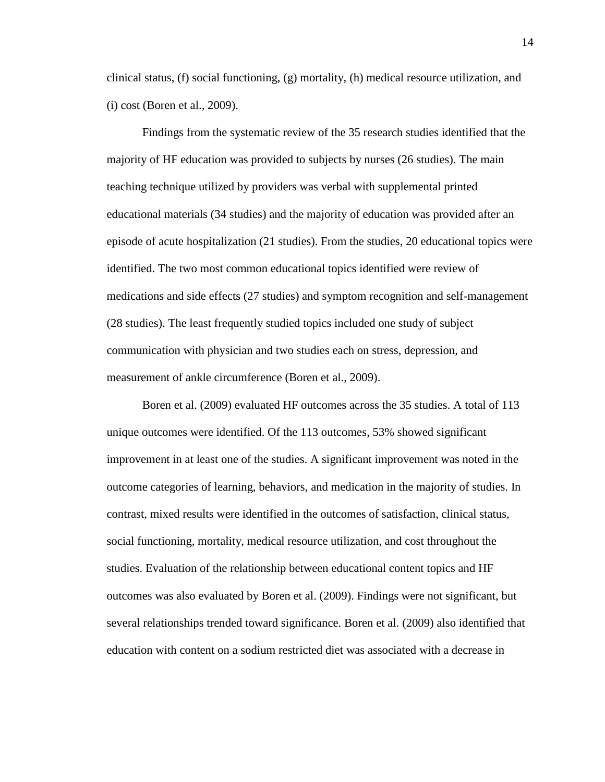clinical status, (f) social functioning, (g) mortality, (h) medical resource utilization, and (i) cost (Boren et al., 2009).

Findings from the systematic review of the 35 research studies identified that the majority of HF education was provided to subjects by nurses (26 studies). The main teaching technique utilized by providers was verbal with supplemental printed educational materials (34 studies) and the majority of education was provided after an episode of acute hospitalization (21 studies). From the studies, 20 educational topics were identified. The two most common educational topics identified were review of medications and side effects (27 studies) and symptom recognition and self-management (28 studies). The least frequently studied topics included one study of subject communication with physician and two studies each on stress, depression, and measurement of ankle circumference (Boren et al., 2009).

Boren et al. (2009) evaluated HF outcomes across the 35 studies. A total of 113 unique outcomes were identified. Of the 113 outcomes, 53% showed significant improvement in at least one of the studies. A significant improvement was noted in the outcome categories of learning, behaviors, and medication in the majority of studies. In contrast, mixed results were identified in the outcomes of satisfaction, clinical status, social functioning, mortality, medical resource utilization, and cost throughout the studies. Evaluation of the relationship between educational content topics and HF outcomes was also evaluated by Boren et al. (2009). Findings were not significant, but several relationships trended toward significance. Boren et al. (2009) also identified that education with content on a sodium restricted diet was associated with a decrease in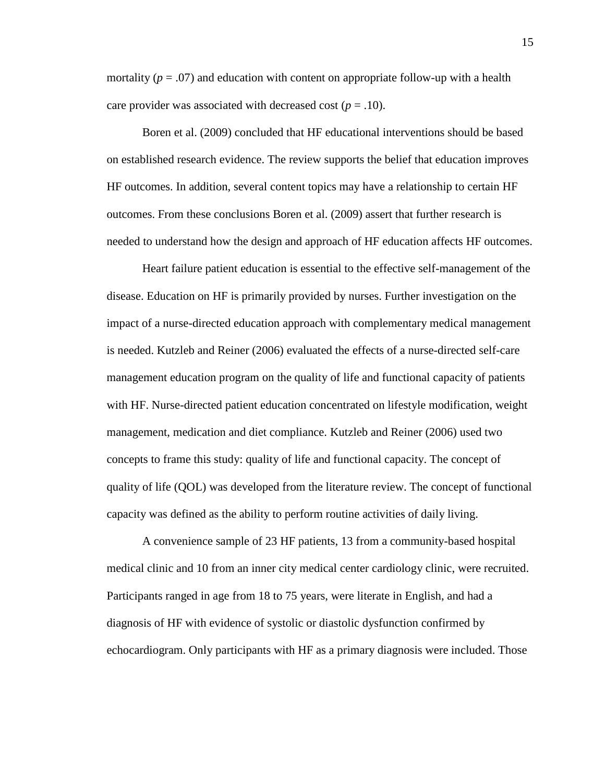mortality  $(p = .07)$  and education with content on appropriate follow-up with a health care provider was associated with decreased cost  $(p = .10)$ .

Boren et al. (2009) concluded that HF educational interventions should be based on established research evidence. The review supports the belief that education improves HF outcomes. In addition, several content topics may have a relationship to certain HF outcomes. From these conclusions Boren et al. (2009) assert that further research is needed to understand how the design and approach of HF education affects HF outcomes.

Heart failure patient education is essential to the effective self-management of the disease. Education on HF is primarily provided by nurses. Further investigation on the impact of a nurse-directed education approach with complementary medical management is needed. Kutzleb and Reiner (2006) evaluated the effects of a nurse-directed self-care management education program on the quality of life and functional capacity of patients with HF. Nurse-directed patient education concentrated on lifestyle modification, weight management, medication and diet compliance. Kutzleb and Reiner (2006) used two concepts to frame this study: quality of life and functional capacity. The concept of quality of life (QOL) was developed from the literature review. The concept of functional capacity was defined as the ability to perform routine activities of daily living.

A convenience sample of 23 HF patients, 13 from a community-based hospital medical clinic and 10 from an inner city medical center cardiology clinic, were recruited. Participants ranged in age from 18 to 75 years, were literate in English, and had a diagnosis of HF with evidence of systolic or diastolic dysfunction confirmed by echocardiogram. Only participants with HF as a primary diagnosis were included. Those

15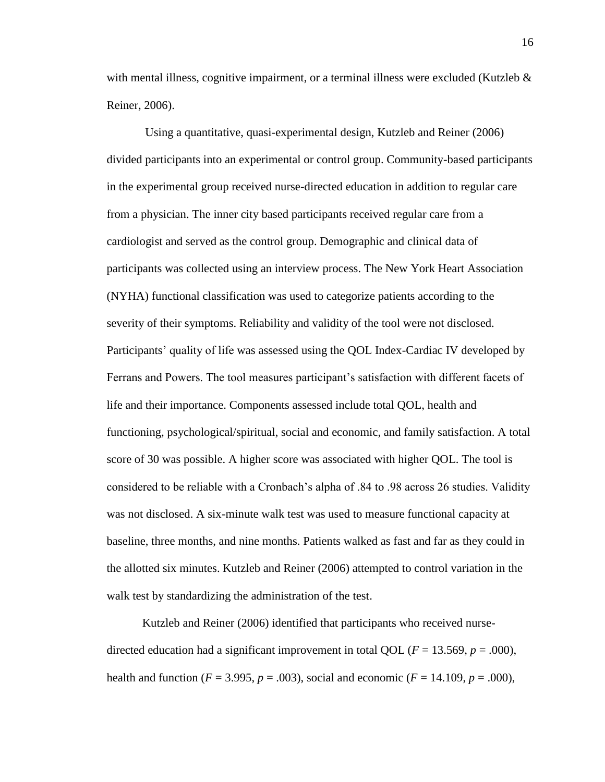with mental illness, cognitive impairment, or a terminal illness were excluded (Kutzleb  $\&$ Reiner, 2006).

Using a quantitative, quasi-experimental design, Kutzleb and Reiner (2006) divided participants into an experimental or control group. Community-based participants in the experimental group received nurse-directed education in addition to regular care from a physician. The inner city based participants received regular care from a cardiologist and served as the control group. Demographic and clinical data of participants was collected using an interview process. The New York Heart Association (NYHA) functional classification was used to categorize patients according to the severity of their symptoms. Reliability and validity of the tool were not disclosed. Participants' quality of life was assessed using the QOL Index-Cardiac IV developed by Ferrans and Powers. The tool measures participant's satisfaction with different facets of life and their importance. Components assessed include total QOL, health and functioning, psychological/spiritual, social and economic, and family satisfaction. A total score of 30 was possible. A higher score was associated with higher QOL. The tool is considered to be reliable with a Cronbach's alpha of .84 to .98 across 26 studies. Validity was not disclosed. A six-minute walk test was used to measure functional capacity at baseline, three months, and nine months. Patients walked as fast and far as they could in the allotted six minutes. Kutzleb and Reiner (2006) attempted to control variation in the walk test by standardizing the administration of the test.

Kutzleb and Reiner (2006) identified that participants who received nursedirected education had a significant improvement in total QOL ( $F = 13.569$ ,  $p = .000$ ), health and function ( $F = 3.995$ ,  $p = .003$ ), social and economic ( $F = 14.109$ ,  $p = .000$ ),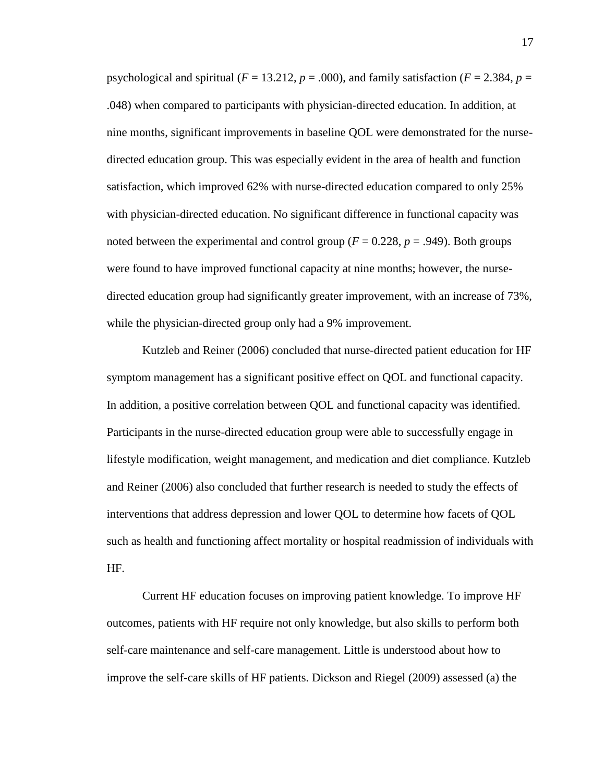psychological and spiritual ( $F = 13.212$ ,  $p = .000$ ), and family satisfaction ( $F = 2.384$ ,  $p =$ .048) when compared to participants with physician-directed education. In addition, at nine months, significant improvements in baseline QOL were demonstrated for the nursedirected education group. This was especially evident in the area of health and function satisfaction, which improved 62% with nurse-directed education compared to only 25% with physician-directed education. No significant difference in functional capacity was noted between the experimental and control group ( $F = 0.228$ ,  $p = .949$ ). Both groups were found to have improved functional capacity at nine months; however, the nursedirected education group had significantly greater improvement, with an increase of 73%, while the physician-directed group only had a 9% improvement.

Kutzleb and Reiner (2006) concluded that nurse-directed patient education for HF symptom management has a significant positive effect on QOL and functional capacity. In addition, a positive correlation between QOL and functional capacity was identified. Participants in the nurse-directed education group were able to successfully engage in lifestyle modification, weight management, and medication and diet compliance. Kutzleb and Reiner (2006) also concluded that further research is needed to study the effects of interventions that address depression and lower QOL to determine how facets of QOL such as health and functioning affect mortality or hospital readmission of individuals with HF.

Current HF education focuses on improving patient knowledge. To improve HF outcomes, patients with HF require not only knowledge, but also skills to perform both self-care maintenance and self-care management. Little is understood about how to improve the self-care skills of HF patients. Dickson and Riegel (2009) assessed (a) the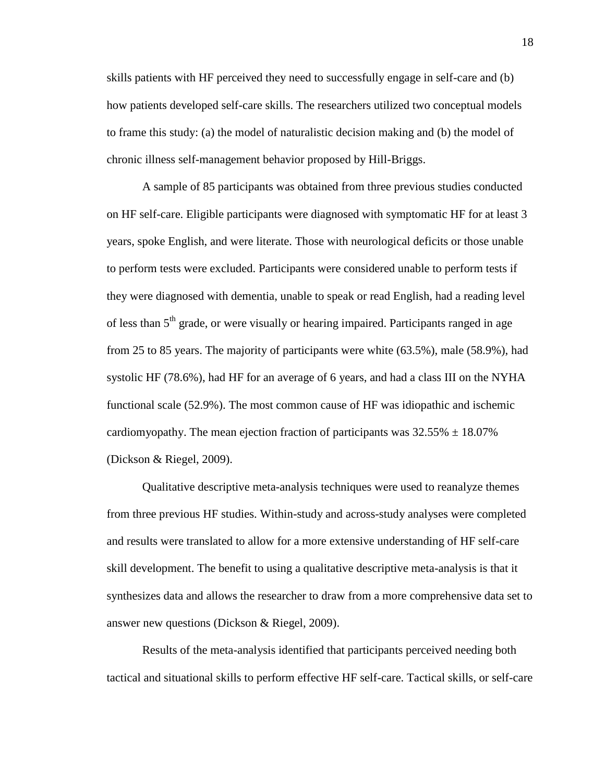skills patients with HF perceived they need to successfully engage in self-care and (b) how patients developed self-care skills. The researchers utilized two conceptual models to frame this study: (a) the model of naturalistic decision making and (b) the model of chronic illness self-management behavior proposed by Hill-Briggs.

A sample of 85 participants was obtained from three previous studies conducted on HF self-care. Eligible participants were diagnosed with symptomatic HF for at least 3 years, spoke English, and were literate. Those with neurological deficits or those unable to perform tests were excluded. Participants were considered unable to perform tests if they were diagnosed with dementia, unable to speak or read English, had a reading level of less than 5<sup>th</sup> grade, or were visually or hearing impaired. Participants ranged in age from 25 to 85 years. The majority of participants were white (63.5%), male (58.9%), had systolic HF (78.6%), had HF for an average of 6 years, and had a class III on the NYHA functional scale (52.9%). The most common cause of HF was idiopathic and ischemic cardiomyopathy. The mean ejection fraction of participants was  $32.55\% \pm 18.07\%$ (Dickson & Riegel, 2009).

Qualitative descriptive meta-analysis techniques were used to reanalyze themes from three previous HF studies. Within-study and across-study analyses were completed and results were translated to allow for a more extensive understanding of HF self-care skill development. The benefit to using a qualitative descriptive meta-analysis is that it synthesizes data and allows the researcher to draw from a more comprehensive data set to answer new questions (Dickson & Riegel, 2009).

Results of the meta-analysis identified that participants perceived needing both tactical and situational skills to perform effective HF self-care. Tactical skills, or self-care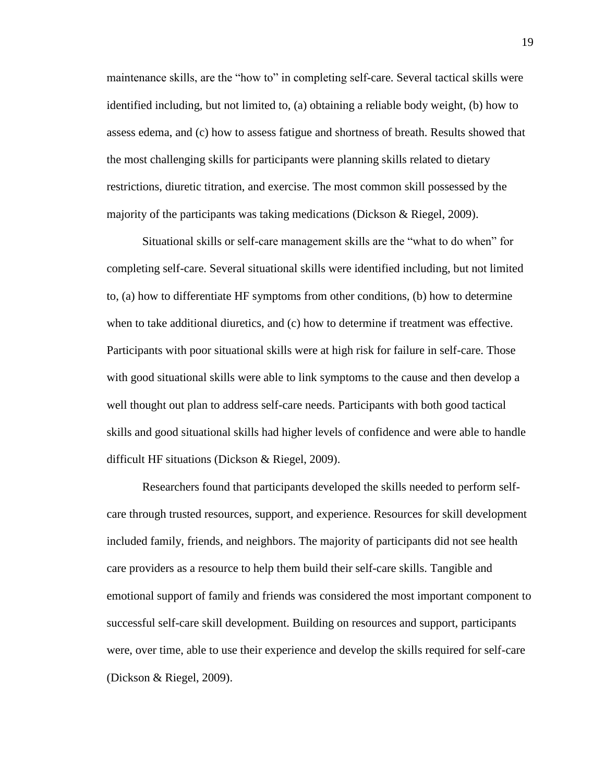maintenance skills, are the "how to" in completing self-care. Several tactical skills were identified including, but not limited to, (a) obtaining a reliable body weight, (b) how to assess edema, and (c) how to assess fatigue and shortness of breath. Results showed that the most challenging skills for participants were planning skills related to dietary restrictions, diuretic titration, and exercise. The most common skill possessed by the majority of the participants was taking medications (Dickson & Riegel, 2009).

Situational skills or self-care management skills are the "what to do when" for completing self-care. Several situational skills were identified including, but not limited to, (a) how to differentiate HF symptoms from other conditions, (b) how to determine when to take additional diuretics, and (c) how to determine if treatment was effective. Participants with poor situational skills were at high risk for failure in self-care. Those with good situational skills were able to link symptoms to the cause and then develop a well thought out plan to address self-care needs. Participants with both good tactical skills and good situational skills had higher levels of confidence and were able to handle difficult HF situations (Dickson & Riegel, 2009).

Researchers found that participants developed the skills needed to perform selfcare through trusted resources, support, and experience. Resources for skill development included family, friends, and neighbors. The majority of participants did not see health care providers as a resource to help them build their self-care skills. Tangible and emotional support of family and friends was considered the most important component to successful self-care skill development. Building on resources and support, participants were, over time, able to use their experience and develop the skills required for self-care (Dickson & Riegel, 2009).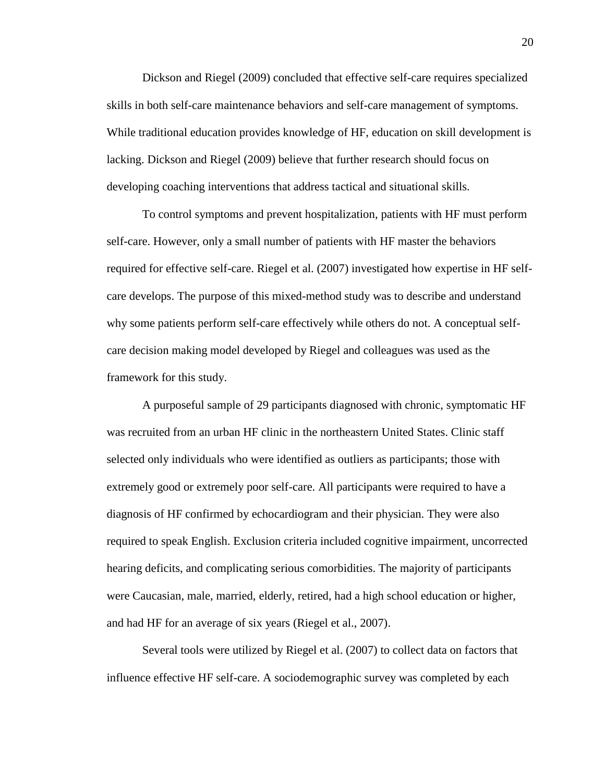Dickson and Riegel (2009) concluded that effective self-care requires specialized skills in both self-care maintenance behaviors and self-care management of symptoms. While traditional education provides knowledge of HF, education on skill development is lacking. Dickson and Riegel (2009) believe that further research should focus on developing coaching interventions that address tactical and situational skills.

To control symptoms and prevent hospitalization, patients with HF must perform self-care. However, only a small number of patients with HF master the behaviors required for effective self-care. Riegel et al. (2007) investigated how expertise in HF selfcare develops. The purpose of this mixed-method study was to describe and understand why some patients perform self-care effectively while others do not. A conceptual selfcare decision making model developed by Riegel and colleagues was used as the framework for this study.

A purposeful sample of 29 participants diagnosed with chronic, symptomatic HF was recruited from an urban HF clinic in the northeastern United States. Clinic staff selected only individuals who were identified as outliers as participants; those with extremely good or extremely poor self-care. All participants were required to have a diagnosis of HF confirmed by echocardiogram and their physician. They were also required to speak English. Exclusion criteria included cognitive impairment, uncorrected hearing deficits, and complicating serious comorbidities. The majority of participants were Caucasian, male, married, elderly, retired, had a high school education or higher, and had HF for an average of six years (Riegel et al., 2007).

Several tools were utilized by Riegel et al. (2007) to collect data on factors that influence effective HF self-care. A sociodemographic survey was completed by each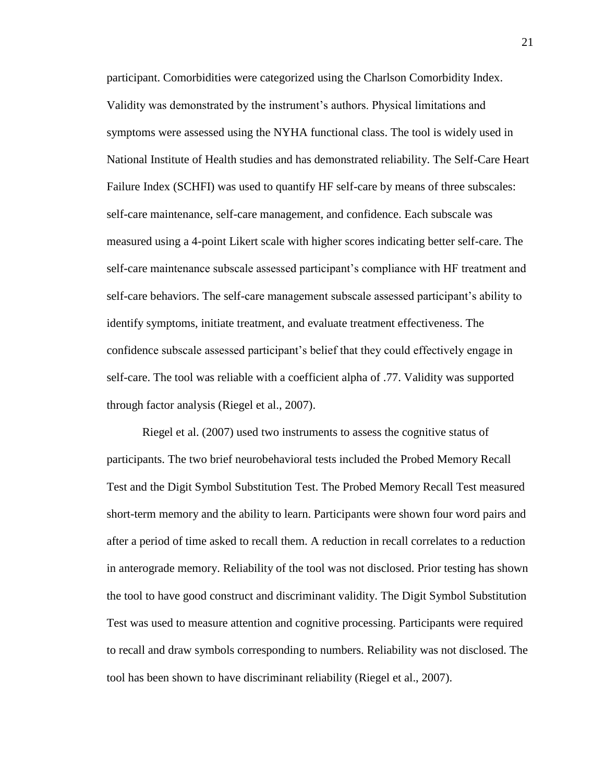participant. Comorbidities were categorized using the Charlson Comorbidity Index. Validity was demonstrated by the instrument's authors. Physical limitations and symptoms were assessed using the NYHA functional class. The tool is widely used in National Institute of Health studies and has demonstrated reliability. The Self-Care Heart Failure Index (SCHFI) was used to quantify HF self-care by means of three subscales: self-care maintenance, self-care management, and confidence. Each subscale was measured using a 4-point Likert scale with higher scores indicating better self-care. The self-care maintenance subscale assessed participant's compliance with HF treatment and self-care behaviors. The self-care management subscale assessed participant's ability to identify symptoms, initiate treatment, and evaluate treatment effectiveness. The confidence subscale assessed participant's belief that they could effectively engage in self-care. The tool was reliable with a coefficient alpha of .77. Validity was supported through factor analysis (Riegel et al., 2007).

Riegel et al. (2007) used two instruments to assess the cognitive status of participants. The two brief neurobehavioral tests included the Probed Memory Recall Test and the Digit Symbol Substitution Test. The Probed Memory Recall Test measured short-term memory and the ability to learn. Participants were shown four word pairs and after a period of time asked to recall them. A reduction in recall correlates to a reduction in anterograde memory. Reliability of the tool was not disclosed. Prior testing has shown the tool to have good construct and discriminant validity. The Digit Symbol Substitution Test was used to measure attention and cognitive processing. Participants were required to recall and draw symbols corresponding to numbers. Reliability was not disclosed. The tool has been shown to have discriminant reliability (Riegel et al., 2007).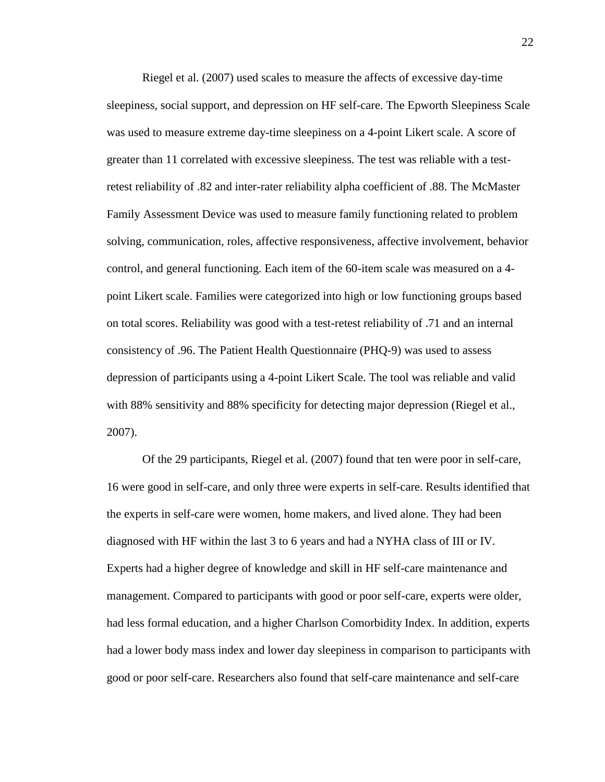Riegel et al. (2007) used scales to measure the affects of excessive day-time sleepiness, social support, and depression on HF self-care. The Epworth Sleepiness Scale was used to measure extreme day-time sleepiness on a 4-point Likert scale. A score of greater than 11 correlated with excessive sleepiness. The test was reliable with a testretest reliability of .82 and inter-rater reliability alpha coefficient of .88. The McMaster Family Assessment Device was used to measure family functioning related to problem solving, communication, roles, affective responsiveness, affective involvement, behavior control, and general functioning. Each item of the 60-item scale was measured on a 4 point Likert scale. Families were categorized into high or low functioning groups based on total scores. Reliability was good with a test-retest reliability of .71 and an internal consistency of .96. The Patient Health Questionnaire (PHQ-9) was used to assess depression of participants using a 4-point Likert Scale. The tool was reliable and valid with 88% sensitivity and 88% specificity for detecting major depression (Riegel et al., 2007).

Of the 29 participants, Riegel et al. (2007) found that ten were poor in self-care, 16 were good in self-care, and only three were experts in self-care. Results identified that the experts in self-care were women, home makers, and lived alone. They had been diagnosed with HF within the last 3 to 6 years and had a NYHA class of III or IV. Experts had a higher degree of knowledge and skill in HF self-care maintenance and management. Compared to participants with good or poor self-care, experts were older, had less formal education, and a higher Charlson Comorbidity Index. In addition, experts had a lower body mass index and lower day sleepiness in comparison to participants with good or poor self-care. Researchers also found that self-care maintenance and self-care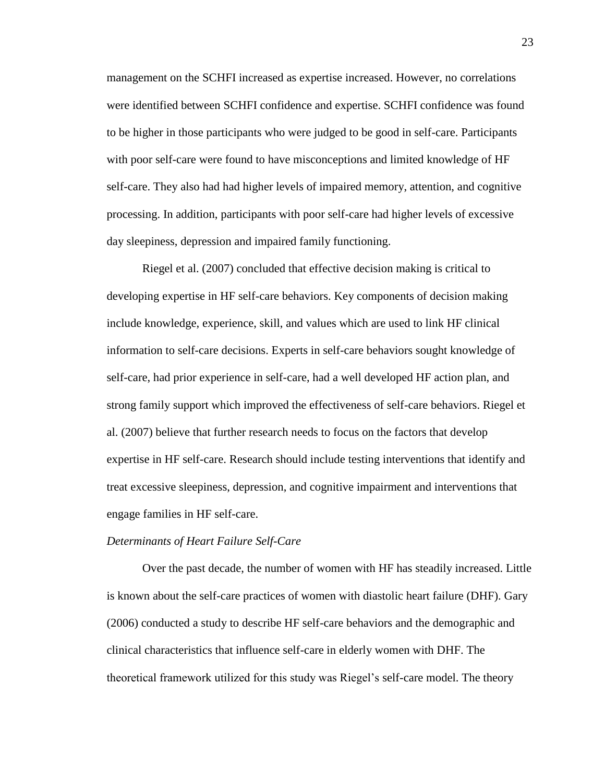management on the SCHFI increased as expertise increased. However, no correlations were identified between SCHFI confidence and expertise. SCHFI confidence was found to be higher in those participants who were judged to be good in self-care. Participants with poor self-care were found to have misconceptions and limited knowledge of HF self-care. They also had had higher levels of impaired memory, attention, and cognitive processing. In addition, participants with poor self-care had higher levels of excessive day sleepiness, depression and impaired family functioning.

Riegel et al. (2007) concluded that effective decision making is critical to developing expertise in HF self-care behaviors. Key components of decision making include knowledge, experience, skill, and values which are used to link HF clinical information to self-care decisions. Experts in self-care behaviors sought knowledge of self-care, had prior experience in self-care, had a well developed HF action plan, and strong family support which improved the effectiveness of self-care behaviors. Riegel et al. (2007) believe that further research needs to focus on the factors that develop expertise in HF self-care. Research should include testing interventions that identify and treat excessive sleepiness, depression, and cognitive impairment and interventions that engage families in HF self-care.

#### *Determinants of Heart Failure Self-Care*

Over the past decade, the number of women with HF has steadily increased. Little is known about the self-care practices of women with diastolic heart failure (DHF). Gary (2006) conducted a study to describe HF self-care behaviors and the demographic and clinical characteristics that influence self-care in elderly women with DHF. The theoretical framework utilized for this study was Riegel's self-care model. The theory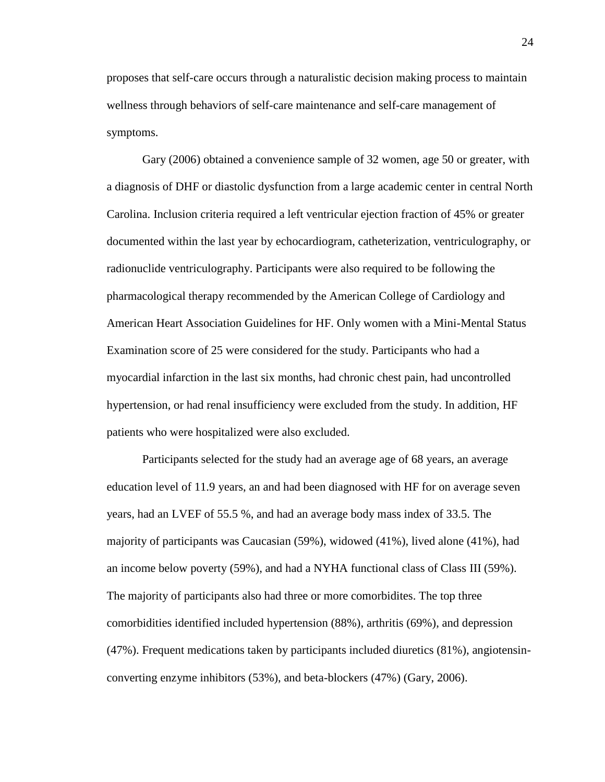proposes that self-care occurs through a naturalistic decision making process to maintain wellness through behaviors of self-care maintenance and self-care management of symptoms.

Gary (2006) obtained a convenience sample of 32 women, age 50 or greater, with a diagnosis of DHF or diastolic dysfunction from a large academic center in central North Carolina. Inclusion criteria required a left ventricular ejection fraction of 45% or greater documented within the last year by echocardiogram, catheterization, ventriculography, or radionuclide ventriculography. Participants were also required to be following the pharmacological therapy recommended by the American College of Cardiology and American Heart Association Guidelines for HF. Only women with a Mini-Mental Status Examination score of 25 were considered for the study. Participants who had a myocardial infarction in the last six months, had chronic chest pain, had uncontrolled hypertension, or had renal insufficiency were excluded from the study. In addition, HF patients who were hospitalized were also excluded.

Participants selected for the study had an average age of 68 years, an average education level of 11.9 years, an and had been diagnosed with HF for on average seven years, had an LVEF of 55.5 %, and had an average body mass index of 33.5. The majority of participants was Caucasian (59%), widowed (41%), lived alone (41%), had an income below poverty (59%), and had a NYHA functional class of Class III (59%). The majority of participants also had three or more comorbidites. The top three comorbidities identified included hypertension (88%), arthritis (69%), and depression (47%). Frequent medications taken by participants included diuretics (81%), angiotensinconverting enzyme inhibitors (53%), and beta-blockers (47%) (Gary, 2006).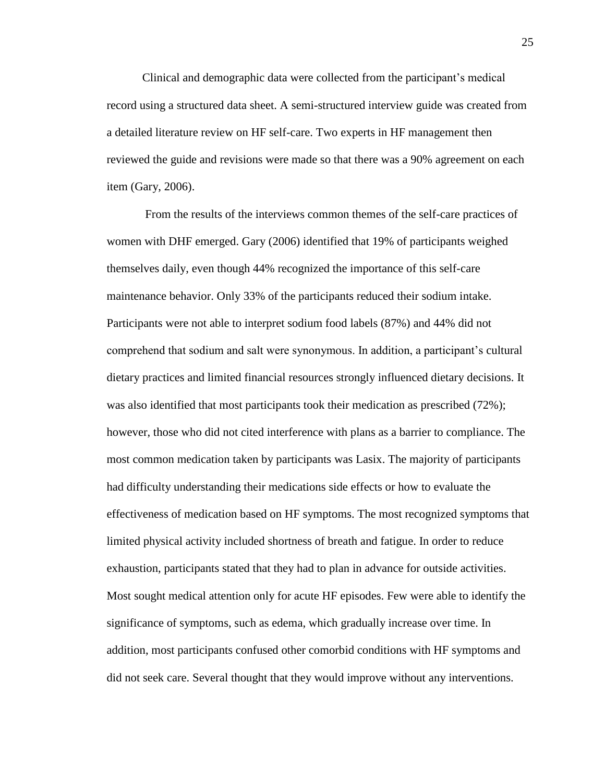Clinical and demographic data were collected from the participant's medical record using a structured data sheet. A semi-structured interview guide was created from a detailed literature review on HF self-care. Two experts in HF management then reviewed the guide and revisions were made so that there was a 90% agreement on each item (Gary, 2006).

From the results of the interviews common themes of the self-care practices of women with DHF emerged. Gary (2006) identified that 19% of participants weighed themselves daily, even though 44% recognized the importance of this self-care maintenance behavior. Only 33% of the participants reduced their sodium intake. Participants were not able to interpret sodium food labels (87%) and 44% did not comprehend that sodium and salt were synonymous. In addition, a participant's cultural dietary practices and limited financial resources strongly influenced dietary decisions. It was also identified that most participants took their medication as prescribed (72%); however, those who did not cited interference with plans as a barrier to compliance. The most common medication taken by participants was Lasix. The majority of participants had difficulty understanding their medications side effects or how to evaluate the effectiveness of medication based on HF symptoms. The most recognized symptoms that limited physical activity included shortness of breath and fatigue. In order to reduce exhaustion, participants stated that they had to plan in advance for outside activities. Most sought medical attention only for acute HF episodes. Few were able to identify the significance of symptoms, such as edema, which gradually increase over time. In addition, most participants confused other comorbid conditions with HF symptoms and did not seek care. Several thought that they would improve without any interventions.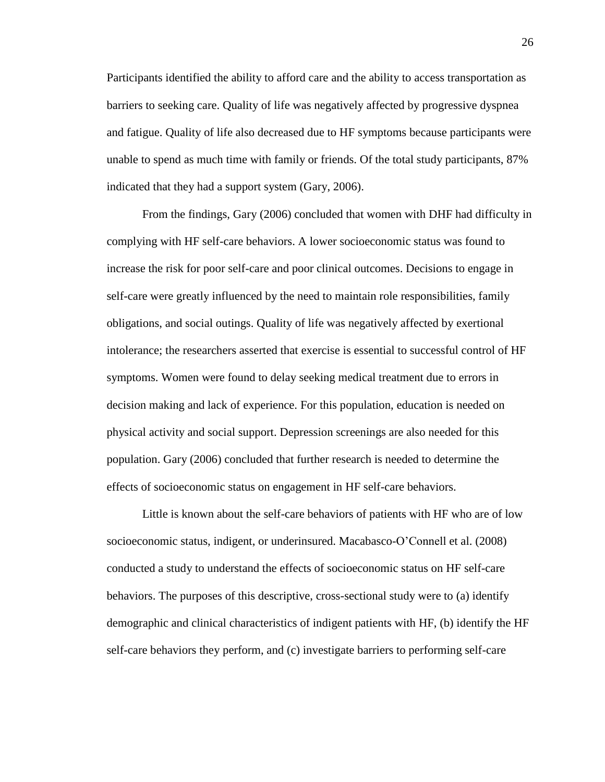Participants identified the ability to afford care and the ability to access transportation as barriers to seeking care. Quality of life was negatively affected by progressive dyspnea and fatigue. Quality of life also decreased due to HF symptoms because participants were unable to spend as much time with family or friends. Of the total study participants, 87% indicated that they had a support system (Gary, 2006).

From the findings, Gary (2006) concluded that women with DHF had difficulty in complying with HF self-care behaviors. A lower socioeconomic status was found to increase the risk for poor self-care and poor clinical outcomes. Decisions to engage in self-care were greatly influenced by the need to maintain role responsibilities, family obligations, and social outings. Quality of life was negatively affected by exertional intolerance; the researchers asserted that exercise is essential to successful control of HF symptoms. Women were found to delay seeking medical treatment due to errors in decision making and lack of experience. For this population, education is needed on physical activity and social support. Depression screenings are also needed for this population. Gary (2006) concluded that further research is needed to determine the effects of socioeconomic status on engagement in HF self-care behaviors.

Little is known about the self-care behaviors of patients with HF who are of low socioeconomic status, indigent, or underinsured. Macabasco-O'Connell et al. (2008) conducted a study to understand the effects of socioeconomic status on HF self-care behaviors. The purposes of this descriptive, cross-sectional study were to (a) identify demographic and clinical characteristics of indigent patients with HF, (b) identify the HF self-care behaviors they perform, and (c) investigate barriers to performing self-care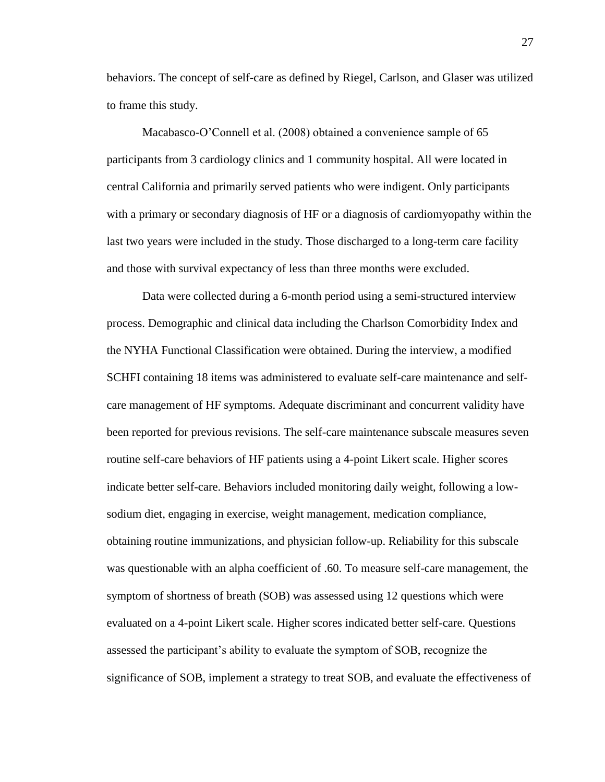behaviors. The concept of self-care as defined by Riegel, Carlson, and Glaser was utilized to frame this study.

Macabasco-O'Connell et al. (2008) obtained a convenience sample of 65 participants from 3 cardiology clinics and 1 community hospital. All were located in central California and primarily served patients who were indigent. Only participants with a primary or secondary diagnosis of HF or a diagnosis of cardiomyopathy within the last two years were included in the study. Those discharged to a long-term care facility and those with survival expectancy of less than three months were excluded.

Data were collected during a 6-month period using a semi-structured interview process. Demographic and clinical data including the Charlson Comorbidity Index and the NYHA Functional Classification were obtained. During the interview, a modified SCHFI containing 18 items was administered to evaluate self-care maintenance and selfcare management of HF symptoms. Adequate discriminant and concurrent validity have been reported for previous revisions. The self-care maintenance subscale measures seven routine self-care behaviors of HF patients using a 4-point Likert scale. Higher scores indicate better self-care. Behaviors included monitoring daily weight, following a lowsodium diet, engaging in exercise, weight management, medication compliance, obtaining routine immunizations, and physician follow-up. Reliability for this subscale was questionable with an alpha coefficient of .60. To measure self-care management, the symptom of shortness of breath (SOB) was assessed using 12 questions which were evaluated on a 4-point Likert scale. Higher scores indicated better self-care. Questions assessed the participant's ability to evaluate the symptom of SOB, recognize the significance of SOB, implement a strategy to treat SOB, and evaluate the effectiveness of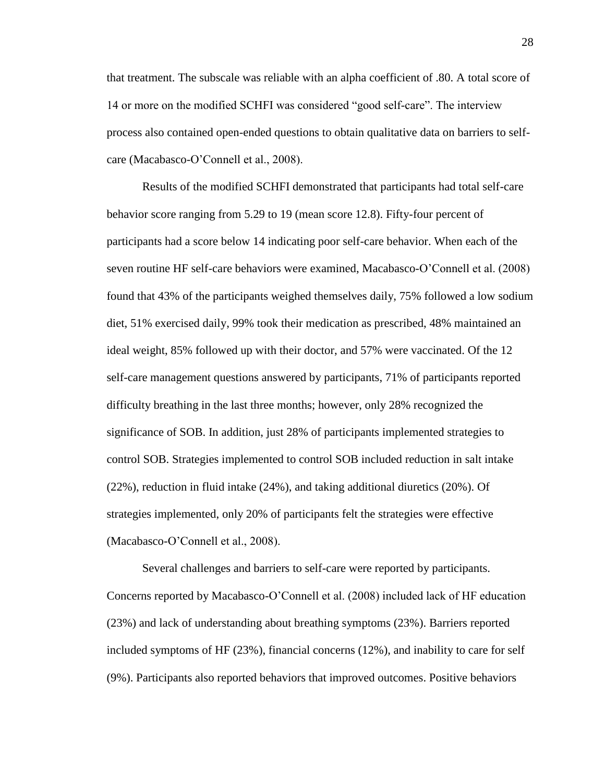that treatment. The subscale was reliable with an alpha coefficient of .80. A total score of 14 or more on the modified SCHFI was considered "good self-care". The interview process also contained open-ended questions to obtain qualitative data on barriers to selfcare (Macabasco-O'Connell et al., 2008).

Results of the modified SCHFI demonstrated that participants had total self-care behavior score ranging from 5.29 to 19 (mean score 12.8). Fifty-four percent of participants had a score below 14 indicating poor self-care behavior. When each of the seven routine HF self-care behaviors were examined, Macabasco-O'Connell et al. (2008) found that 43% of the participants weighed themselves daily, 75% followed a low sodium diet, 51% exercised daily, 99% took their medication as prescribed, 48% maintained an ideal weight, 85% followed up with their doctor, and 57% were vaccinated. Of the 12 self-care management questions answered by participants, 71% of participants reported difficulty breathing in the last three months; however, only 28% recognized the significance of SOB. In addition, just 28% of participants implemented strategies to control SOB. Strategies implemented to control SOB included reduction in salt intake (22%), reduction in fluid intake (24%), and taking additional diuretics (20%). Of strategies implemented, only 20% of participants felt the strategies were effective (Macabasco-O'Connell et al., 2008).

Several challenges and barriers to self-care were reported by participants. Concerns reported by Macabasco-O'Connell et al. (2008) included lack of HF education (23%) and lack of understanding about breathing symptoms (23%). Barriers reported included symptoms of HF (23%), financial concerns (12%), and inability to care for self (9%). Participants also reported behaviors that improved outcomes. Positive behaviors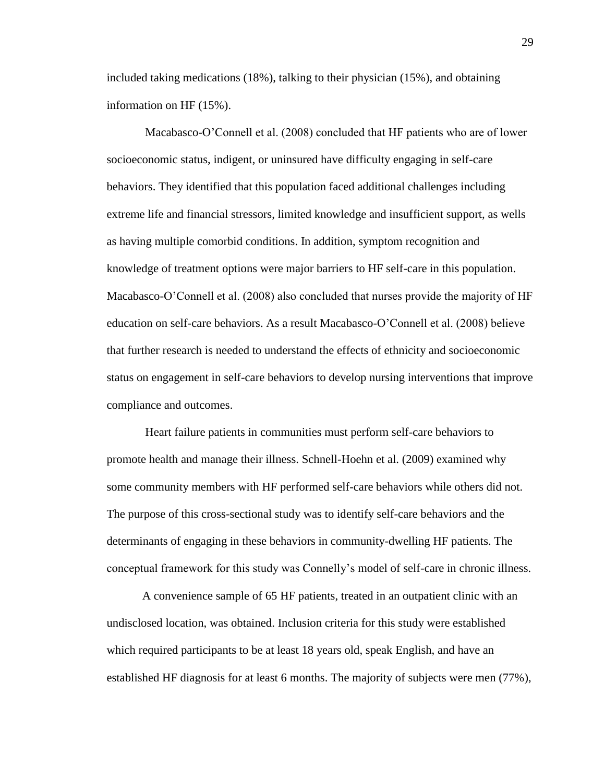included taking medications (18%), talking to their physician (15%), and obtaining information on HF (15%).

Macabasco-O'Connell et al. (2008) concluded that HF patients who are of lower socioeconomic status, indigent, or uninsured have difficulty engaging in self-care behaviors. They identified that this population faced additional challenges including extreme life and financial stressors, limited knowledge and insufficient support, as wells as having multiple comorbid conditions. In addition, symptom recognition and knowledge of treatment options were major barriers to HF self-care in this population. Macabasco-O'Connell et al. (2008) also concluded that nurses provide the majority of HF education on self-care behaviors. As a result Macabasco-O'Connell et al. (2008) believe that further research is needed to understand the effects of ethnicity and socioeconomic status on engagement in self-care behaviors to develop nursing interventions that improve compliance and outcomes.

Heart failure patients in communities must perform self-care behaviors to promote health and manage their illness. Schnell-Hoehn et al. (2009) examined why some community members with HF performed self-care behaviors while others did not. The purpose of this cross-sectional study was to identify self-care behaviors and the determinants of engaging in these behaviors in community-dwelling HF patients. The conceptual framework for this study was Connelly's model of self-care in chronic illness.

A convenience sample of 65 HF patients, treated in an outpatient clinic with an undisclosed location, was obtained. Inclusion criteria for this study were established which required participants to be at least 18 years old, speak English, and have an established HF diagnosis for at least 6 months. The majority of subjects were men (77%),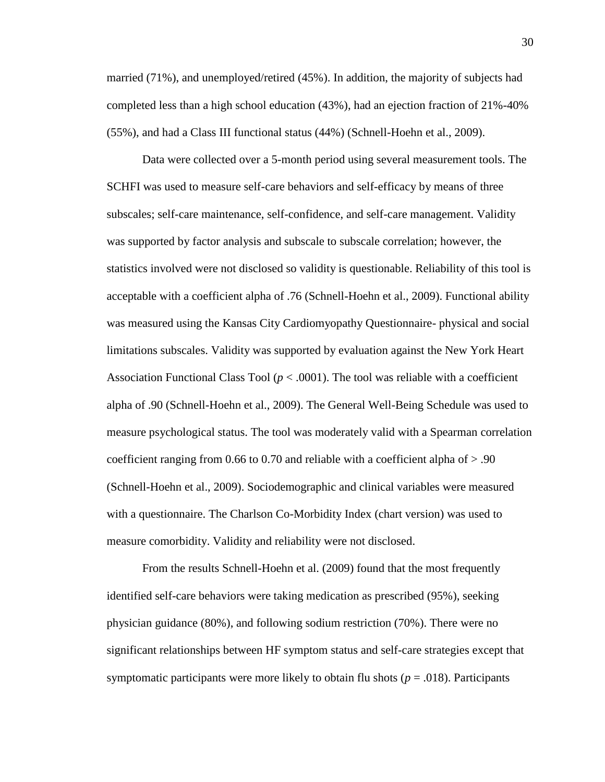married (71%), and unemployed/retired (45%). In addition, the majority of subjects had completed less than a high school education (43%), had an ejection fraction of 21%-40% (55%), and had a Class III functional status (44%) (Schnell-Hoehn et al., 2009).

Data were collected over a 5-month period using several measurement tools. The SCHFI was used to measure self-care behaviors and self-efficacy by means of three subscales; self-care maintenance, self-confidence, and self-care management. Validity was supported by factor analysis and subscale to subscale correlation; however, the statistics involved were not disclosed so validity is questionable. Reliability of this tool is acceptable with a coefficient alpha of .76 (Schnell-Hoehn et al., 2009). Functional ability was measured using the Kansas City Cardiomyopathy Questionnaire- physical and social limitations subscales. Validity was supported by evaluation against the New York Heart Association Functional Class Tool ( $p < .0001$ ). The tool was reliable with a coefficient alpha of .90 (Schnell-Hoehn et al., 2009). The General Well-Being Schedule was used to measure psychological status. The tool was moderately valid with a Spearman correlation coefficient ranging from 0.66 to 0.70 and reliable with a coefficient alpha of > .90 (Schnell-Hoehn et al., 2009). Sociodemographic and clinical variables were measured with a questionnaire. The Charlson Co-Morbidity Index (chart version) was used to measure comorbidity. Validity and reliability were not disclosed.

From the results Schnell-Hoehn et al. (2009) found that the most frequently identified self-care behaviors were taking medication as prescribed (95%), seeking physician guidance (80%), and following sodium restriction (70%). There were no significant relationships between HF symptom status and self-care strategies except that symptomatic participants were more likely to obtain flu shots ( $p = .018$ ). Participants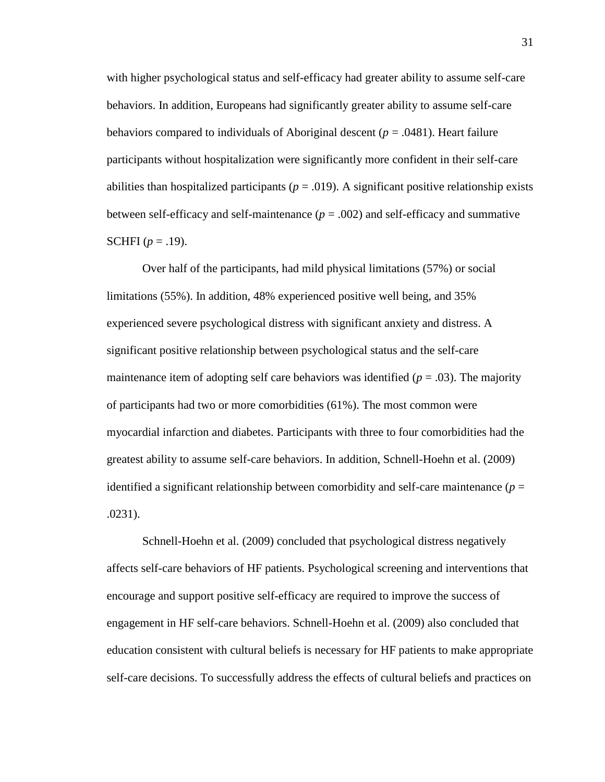with higher psychological status and self-efficacy had greater ability to assume self-care behaviors. In addition, Europeans had significantly greater ability to assume self-care behaviors compared to individuals of Aboriginal descent (*p* = .0481). Heart failure participants without hospitalization were significantly more confident in their self-care abilities than hospitalized participants ( $p = .019$ ). A significant positive relationship exists between self-efficacy and self-maintenance  $(p = .002)$  and self-efficacy and summative **SCHFI**  $(p = .19)$ .

Over half of the participants, had mild physical limitations (57%) or social limitations (55%). In addition, 48% experienced positive well being, and 35% experienced severe psychological distress with significant anxiety and distress. A significant positive relationship between psychological status and the self-care maintenance item of adopting self care behaviors was identified  $(p = .03)$ . The majority of participants had two or more comorbidities (61%). The most common were myocardial infarction and diabetes. Participants with three to four comorbidities had the greatest ability to assume self-care behaviors. In addition, Schnell-Hoehn et al. (2009) identified a significant relationship between comorbidity and self-care maintenance ( $p =$ .0231).

Schnell-Hoehn et al. (2009) concluded that psychological distress negatively affects self-care behaviors of HF patients. Psychological screening and interventions that encourage and support positive self-efficacy are required to improve the success of engagement in HF self-care behaviors. Schnell-Hoehn et al. (2009) also concluded that education consistent with cultural beliefs is necessary for HF patients to make appropriate self-care decisions. To successfully address the effects of cultural beliefs and practices on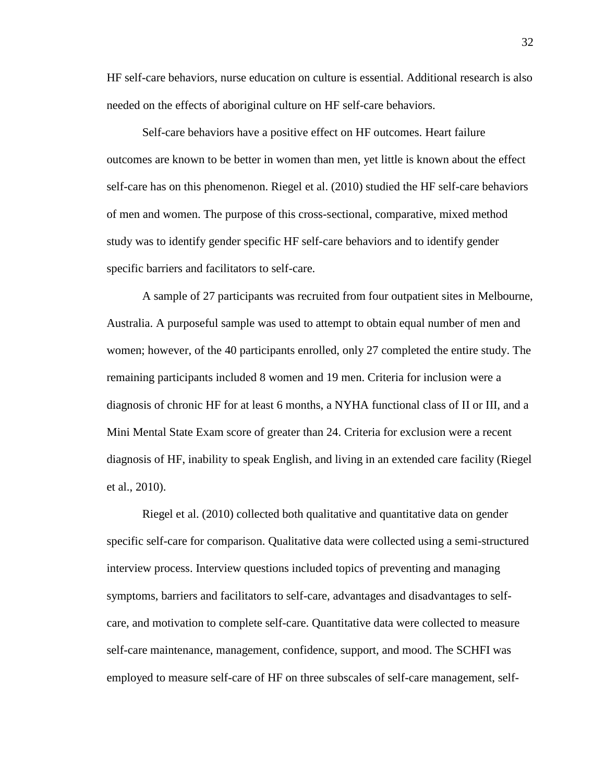HF self-care behaviors, nurse education on culture is essential. Additional research is also needed on the effects of aboriginal culture on HF self-care behaviors.

Self-care behaviors have a positive effect on HF outcomes. Heart failure outcomes are known to be better in women than men, yet little is known about the effect self-care has on this phenomenon. Riegel et al. (2010) studied the HF self-care behaviors of men and women. The purpose of this cross-sectional, comparative, mixed method study was to identify gender specific HF self-care behaviors and to identify gender specific barriers and facilitators to self-care.

A sample of 27 participants was recruited from four outpatient sites in Melbourne, Australia. A purposeful sample was used to attempt to obtain equal number of men and women; however, of the 40 participants enrolled, only 27 completed the entire study. The remaining participants included 8 women and 19 men. Criteria for inclusion were a diagnosis of chronic HF for at least 6 months, a NYHA functional class of II or III, and a Mini Mental State Exam score of greater than 24. Criteria for exclusion were a recent diagnosis of HF, inability to speak English, and living in an extended care facility (Riegel et al., 2010).

Riegel et al. (2010) collected both qualitative and quantitative data on gender specific self-care for comparison. Qualitative data were collected using a semi-structured interview process. Interview questions included topics of preventing and managing symptoms, barriers and facilitators to self-care, advantages and disadvantages to selfcare, and motivation to complete self-care. Quantitative data were collected to measure self-care maintenance, management, confidence, support, and mood. The SCHFI was employed to measure self-care of HF on three subscales of self-care management, self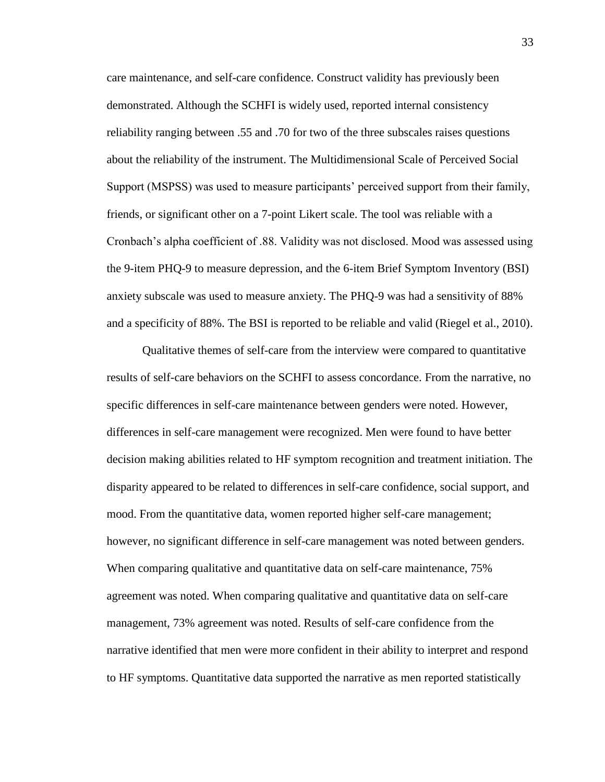care maintenance, and self-care confidence. Construct validity has previously been demonstrated. Although the SCHFI is widely used, reported internal consistency reliability ranging between .55 and .70 for two of the three subscales raises questions about the reliability of the instrument. The Multidimensional Scale of Perceived Social Support (MSPSS) was used to measure participants' perceived support from their family, friends, or significant other on a 7-point Likert scale. The tool was reliable with a Cronbach's alpha coefficient of .88. Validity was not disclosed. Mood was assessed using the 9-item PHQ-9 to measure depression, and the 6-item Brief Symptom Inventory (BSI) anxiety subscale was used to measure anxiety. The PHQ-9 was had a sensitivity of 88% and a specificity of 88%. The BSI is reported to be reliable and valid (Riegel et al., 2010).

Qualitative themes of self-care from the interview were compared to quantitative results of self-care behaviors on the SCHFI to assess concordance. From the narrative, no specific differences in self-care maintenance between genders were noted. However, differences in self-care management were recognized. Men were found to have better decision making abilities related to HF symptom recognition and treatment initiation. The disparity appeared to be related to differences in self-care confidence, social support, and mood. From the quantitative data, women reported higher self-care management; however, no significant difference in self-care management was noted between genders. When comparing qualitative and quantitative data on self-care maintenance, 75% agreement was noted. When comparing qualitative and quantitative data on self-care management, 73% agreement was noted. Results of self-care confidence from the narrative identified that men were more confident in their ability to interpret and respond to HF symptoms. Quantitative data supported the narrative as men reported statistically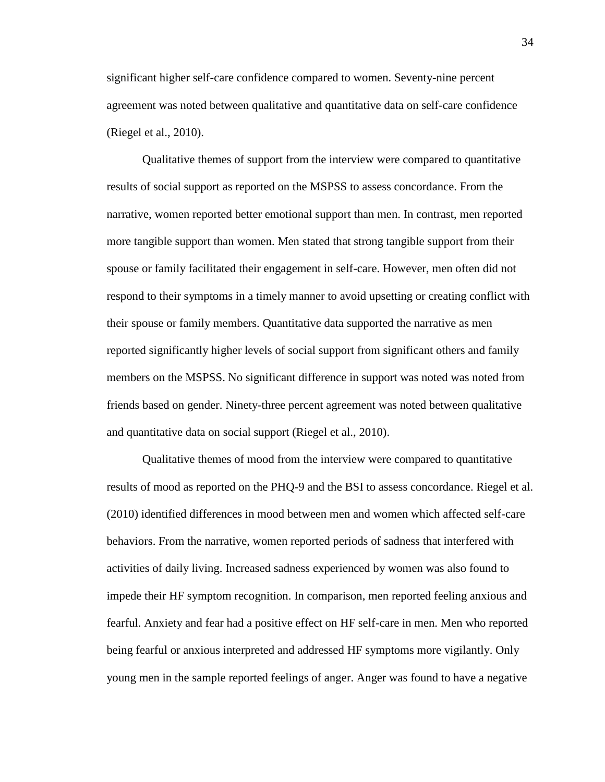significant higher self-care confidence compared to women. Seventy-nine percent agreement was noted between qualitative and quantitative data on self-care confidence (Riegel et al., 2010).

Qualitative themes of support from the interview were compared to quantitative results of social support as reported on the MSPSS to assess concordance. From the narrative, women reported better emotional support than men. In contrast, men reported more tangible support than women. Men stated that strong tangible support from their spouse or family facilitated their engagement in self-care. However, men often did not respond to their symptoms in a timely manner to avoid upsetting or creating conflict with their spouse or family members. Quantitative data supported the narrative as men reported significantly higher levels of social support from significant others and family members on the MSPSS. No significant difference in support was noted was noted from friends based on gender. Ninety-three percent agreement was noted between qualitative and quantitative data on social support (Riegel et al., 2010).

Qualitative themes of mood from the interview were compared to quantitative results of mood as reported on the PHQ-9 and the BSI to assess concordance. Riegel et al. (2010) identified differences in mood between men and women which affected self-care behaviors. From the narrative, women reported periods of sadness that interfered with activities of daily living. Increased sadness experienced by women was also found to impede their HF symptom recognition. In comparison, men reported feeling anxious and fearful. Anxiety and fear had a positive effect on HF self-care in men. Men who reported being fearful or anxious interpreted and addressed HF symptoms more vigilantly. Only young men in the sample reported feelings of anger. Anger was found to have a negative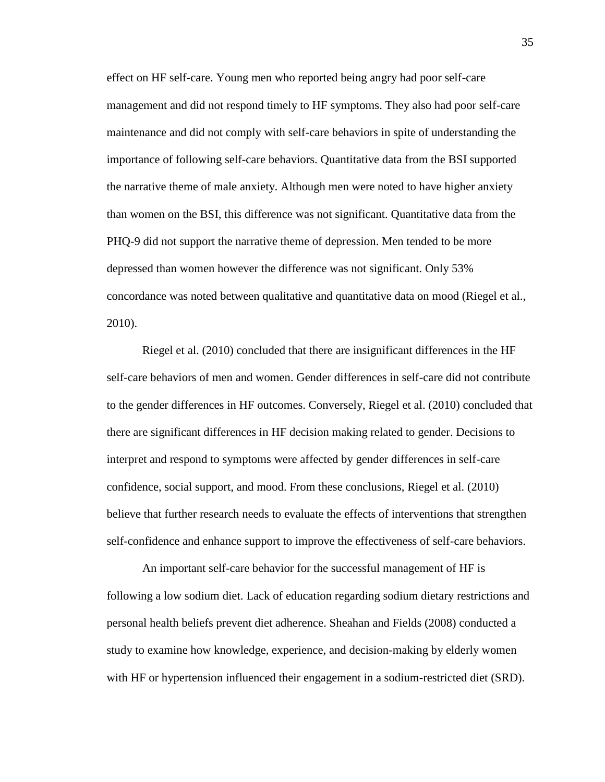effect on HF self-care. Young men who reported being angry had poor self-care management and did not respond timely to HF symptoms. They also had poor self-care maintenance and did not comply with self-care behaviors in spite of understanding the importance of following self-care behaviors. Quantitative data from the BSI supported the narrative theme of male anxiety. Although men were noted to have higher anxiety than women on the BSI, this difference was not significant. Quantitative data from the PHQ-9 did not support the narrative theme of depression. Men tended to be more depressed than women however the difference was not significant. Only 53% concordance was noted between qualitative and quantitative data on mood (Riegel et al., 2010).

Riegel et al. (2010) concluded that there are insignificant differences in the HF self-care behaviors of men and women. Gender differences in self-care did not contribute to the gender differences in HF outcomes. Conversely, Riegel et al. (2010) concluded that there are significant differences in HF decision making related to gender. Decisions to interpret and respond to symptoms were affected by gender differences in self-care confidence, social support, and mood. From these conclusions, Riegel et al. (2010) believe that further research needs to evaluate the effects of interventions that strengthen self-confidence and enhance support to improve the effectiveness of self-care behaviors.

An important self-care behavior for the successful management of HF is following a low sodium diet. Lack of education regarding sodium dietary restrictions and personal health beliefs prevent diet adherence. Sheahan and Fields (2008) conducted a study to examine how knowledge, experience, and decision-making by elderly women with HF or hypertension influenced their engagement in a sodium-restricted diet (SRD).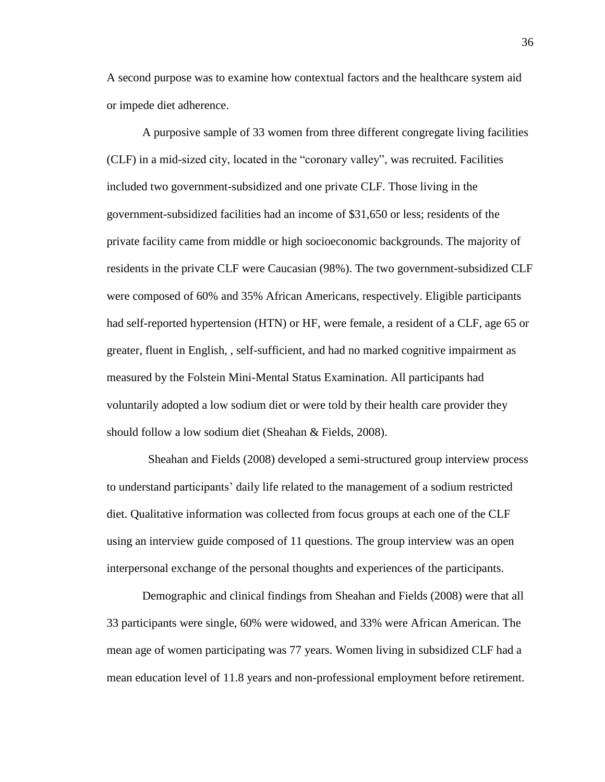A second purpose was to examine how contextual factors and the healthcare system aid or impede diet adherence.

A purposive sample of 33 women from three different congregate living facilities (CLF) in a mid-sized city, located in the "coronary valley", was recruited. Facilities included two government-subsidized and one private CLF. Those living in the government-subsidized facilities had an income of \$31,650 or less; residents of the private facility came from middle or high socioeconomic backgrounds. The majority of residents in the private CLF were Caucasian (98%). The two government-subsidized CLF were composed of 60% and 35% African Americans, respectively. Eligible participants had self-reported hypertension (HTN) or HF, were female, a resident of a CLF, age 65 or greater, fluent in English, , self-sufficient, and had no marked cognitive impairment as measured by the Folstein Mini-Mental Status Examination. All participants had voluntarily adopted a low sodium diet or were told by their health care provider they should follow a low sodium diet (Sheahan & Fields, 2008).

 Sheahan and Fields (2008) developed a semi-structured group interview process to understand participants' daily life related to the management of a sodium restricted diet. Qualitative information was collected from focus groups at each one of the CLF using an interview guide composed of 11 questions. The group interview was an open interpersonal exchange of the personal thoughts and experiences of the participants.

Demographic and clinical findings from Sheahan and Fields (2008) were that all 33 participants were single, 60% were widowed, and 33% were African American. The mean age of women participating was 77 years. Women living in subsidized CLF had a mean education level of 11.8 years and non-professional employment before retirement.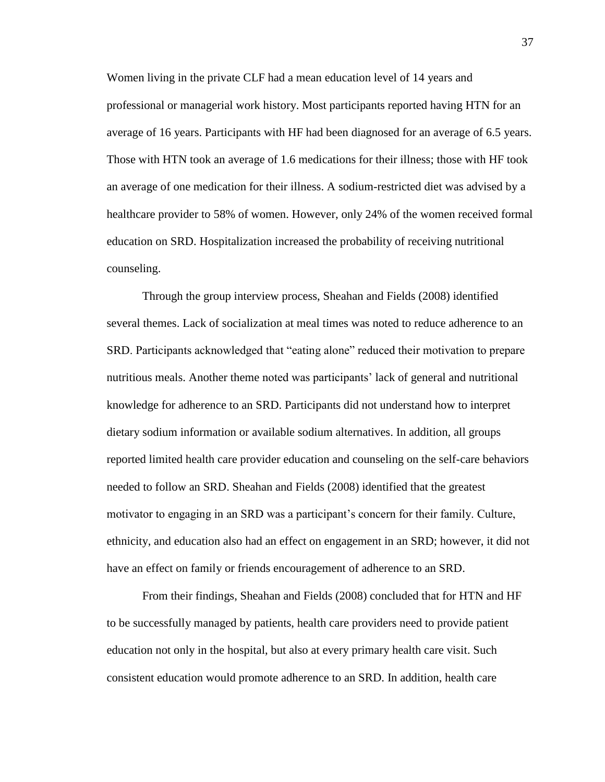Women living in the private CLF had a mean education level of 14 years and professional or managerial work history. Most participants reported having HTN for an average of 16 years. Participants with HF had been diagnosed for an average of 6.5 years. Those with HTN took an average of 1.6 medications for their illness; those with HF took an average of one medication for their illness. A sodium-restricted diet was advised by a healthcare provider to 58% of women. However, only 24% of the women received formal education on SRD. Hospitalization increased the probability of receiving nutritional counseling.

Through the group interview process, Sheahan and Fields (2008) identified several themes. Lack of socialization at meal times was noted to reduce adherence to an SRD. Participants acknowledged that "eating alone" reduced their motivation to prepare nutritious meals. Another theme noted was participants' lack of general and nutritional knowledge for adherence to an SRD. Participants did not understand how to interpret dietary sodium information or available sodium alternatives. In addition, all groups reported limited health care provider education and counseling on the self-care behaviors needed to follow an SRD. Sheahan and Fields (2008) identified that the greatest motivator to engaging in an SRD was a participant's concern for their family. Culture, ethnicity, and education also had an effect on engagement in an SRD; however, it did not have an effect on family or friends encouragement of adherence to an SRD.

From their findings, Sheahan and Fields (2008) concluded that for HTN and HF to be successfully managed by patients, health care providers need to provide patient education not only in the hospital, but also at every primary health care visit. Such consistent education would promote adherence to an SRD. In addition, health care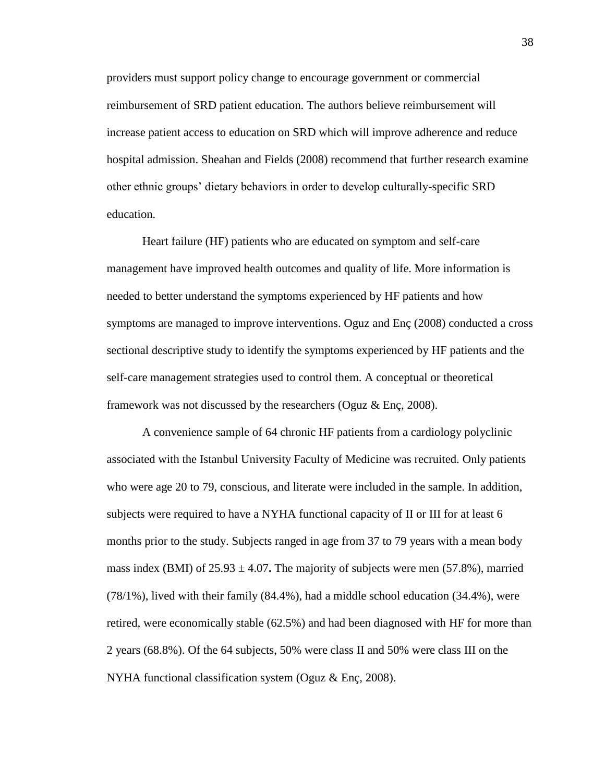providers must support policy change to encourage government or commercial reimbursement of SRD patient education. The authors believe reimbursement will increase patient access to education on SRD which will improve adherence and reduce hospital admission. Sheahan and Fields (2008) recommend that further research examine other ethnic groups' dietary behaviors in order to develop culturally-specific SRD education.

Heart failure (HF) patients who are educated on symptom and self-care management have improved health outcomes and quality of life. More information is needed to better understand the symptoms experienced by HF patients and how symptoms are managed to improve interventions. Oguz and Enç (2008) conducted a cross sectional descriptive study to identify the symptoms experienced by HF patients and the self-care management strategies used to control them. A conceptual or theoretical framework was not discussed by the researchers (Oguz & Enç, 2008).

A convenience sample of 64 chronic HF patients from a cardiology polyclinic associated with the Istanbul University Faculty of Medicine was recruited. Only patients who were age 20 to 79, conscious, and literate were included in the sample. In addition, subjects were required to have a NYHA functional capacity of II or III for at least 6 months prior to the study. Subjects ranged in age from 37 to 79 years with a mean body mass index (BMI) of  $25.93 \pm 4.07$ . The majority of subjects were men (57.8%), married (78/1%), lived with their family (84.4%), had a middle school education (34.4%), were retired, were economically stable (62.5%) and had been diagnosed with HF for more than 2 years (68.8%). Of the 64 subjects, 50% were class II and 50% were class III on the NYHA functional classification system (Oguz & Enç, 2008).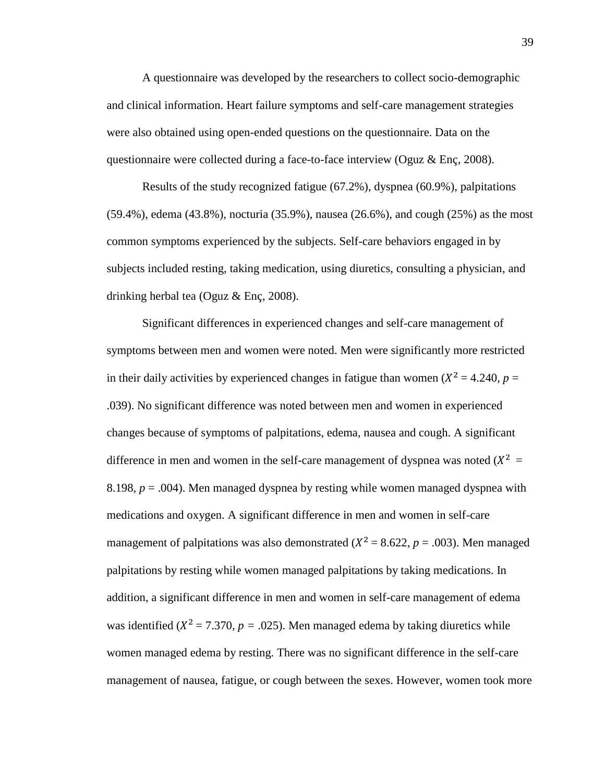A questionnaire was developed by the researchers to collect socio-demographic and clinical information. Heart failure symptoms and self-care management strategies were also obtained using open-ended questions on the questionnaire. Data on the questionnaire were collected during a face-to-face interview (Oguz & Enç, 2008).

Results of the study recognized fatigue (67.2%), dyspnea (60.9%), palpitations (59.4%), edema (43.8%), nocturia (35.9%), nausea (26.6%), and cough (25%) as the most common symptoms experienced by the subjects. Self-care behaviors engaged in by subjects included resting, taking medication, using diuretics, consulting a physician, and drinking herbal tea (Oguz & Enç, 2008).

Significant differences in experienced changes and self-care management of symptoms between men and women were noted. Men were significantly more restricted in their daily activities by experienced changes in fatigue than women  $(X^2 = 4.240, p =$ .039). No significant difference was noted between men and women in experienced changes because of symptoms of palpitations, edema, nausea and cough. A significant difference in men and women in the self-care management of dyspnea was noted  $(X^2 =$ 8.198,  $p = .004$ ). Men managed dyspnea by resting while women managed dyspnea with medications and oxygen. A significant difference in men and women in self-care management of palpitations was also demonstrated ( $X^2 = 8.622$ ,  $p = .003$ ). Men managed palpitations by resting while women managed palpitations by taking medications. In addition, a significant difference in men and women in self-care management of edema was identified ( $X^2 = 7.370$ ,  $p = .025$ ). Men managed edema by taking diuretics while women managed edema by resting. There was no significant difference in the self-care management of nausea, fatigue, or cough between the sexes. However, women took more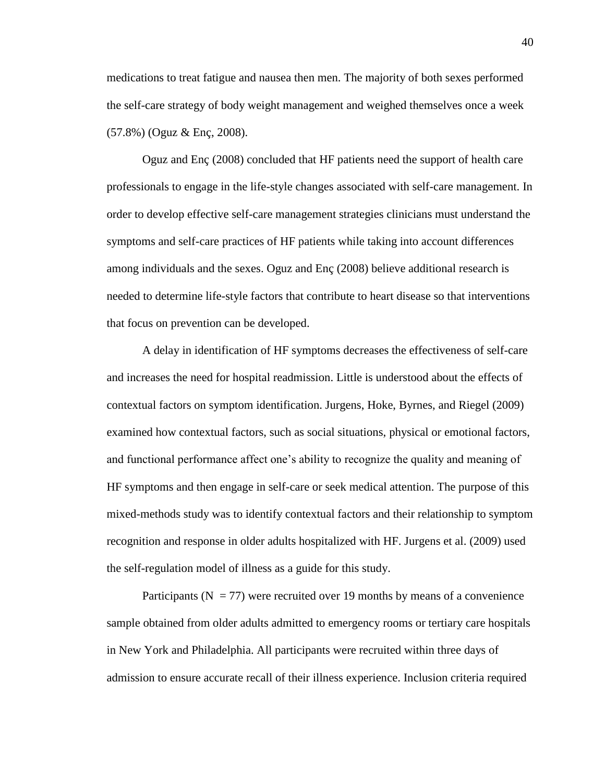medications to treat fatigue and nausea then men. The majority of both sexes performed the self-care strategy of body weight management and weighed themselves once a week (57.8%) (Oguz & Enç, 2008).

Oguz and Enç (2008) concluded that HF patients need the support of health care professionals to engage in the life-style changes associated with self-care management. In order to develop effective self-care management strategies clinicians must understand the symptoms and self-care practices of HF patients while taking into account differences among individuals and the sexes. Oguz and Enç (2008) believe additional research is needed to determine life-style factors that contribute to heart disease so that interventions that focus on prevention can be developed.

A delay in identification of HF symptoms decreases the effectiveness of self-care and increases the need for hospital readmission. Little is understood about the effects of contextual factors on symptom identification. Jurgens, Hoke, Byrnes, and Riegel (2009) examined how contextual factors, such as social situations, physical or emotional factors, and functional performance affect one's ability to recognize the quality and meaning of HF symptoms and then engage in self-care or seek medical attention. The purpose of this mixed-methods study was to identify contextual factors and their relationship to symptom recognition and response in older adults hospitalized with HF. Jurgens et al. (2009) used the self-regulation model of illness as a guide for this study.

Participants ( $N = 77$ ) were recruited over 19 months by means of a convenience sample obtained from older adults admitted to emergency rooms or tertiary care hospitals in New York and Philadelphia. All participants were recruited within three days of admission to ensure accurate recall of their illness experience. Inclusion criteria required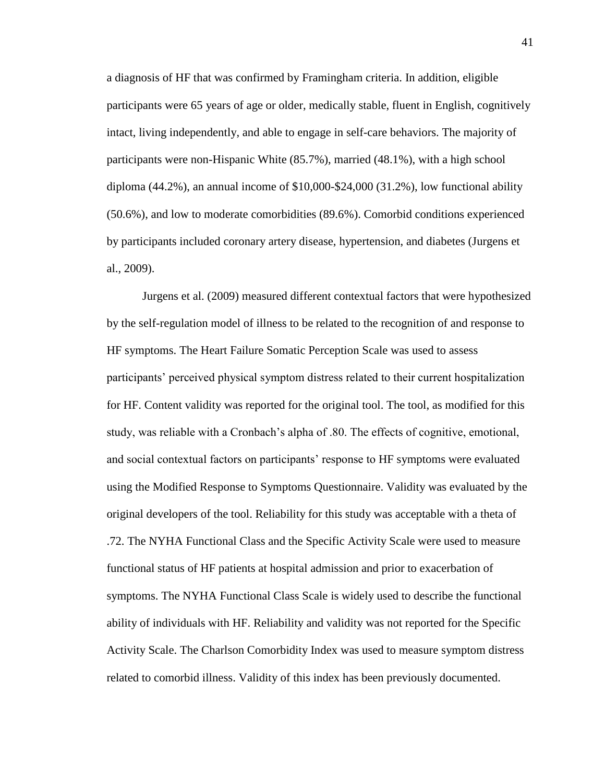a diagnosis of HF that was confirmed by Framingham criteria. In addition, eligible participants were 65 years of age or older, medically stable, fluent in English, cognitively intact, living independently, and able to engage in self-care behaviors. The majority of participants were non-Hispanic White (85.7%), married (48.1%), with a high school diploma (44.2%), an annual income of \$10,000-\$24,000 (31.2%), low functional ability (50.6%), and low to moderate comorbidities (89.6%). Comorbid conditions experienced by participants included coronary artery disease, hypertension, and diabetes (Jurgens et al., 2009).

Jurgens et al. (2009) measured different contextual factors that were hypothesized by the self-regulation model of illness to be related to the recognition of and response to HF symptoms. The Heart Failure Somatic Perception Scale was used to assess participants' perceived physical symptom distress related to their current hospitalization for HF. Content validity was reported for the original tool. The tool, as modified for this study, was reliable with a Cronbach's alpha of .80. The effects of cognitive, emotional, and social contextual factors on participants' response to HF symptoms were evaluated using the Modified Response to Symptoms Questionnaire. Validity was evaluated by the original developers of the tool. Reliability for this study was acceptable with a theta of .72. The NYHA Functional Class and the Specific Activity Scale were used to measure functional status of HF patients at hospital admission and prior to exacerbation of symptoms. The NYHA Functional Class Scale is widely used to describe the functional ability of individuals with HF. Reliability and validity was not reported for the Specific Activity Scale. The Charlson Comorbidity Index was used to measure symptom distress related to comorbid illness. Validity of this index has been previously documented.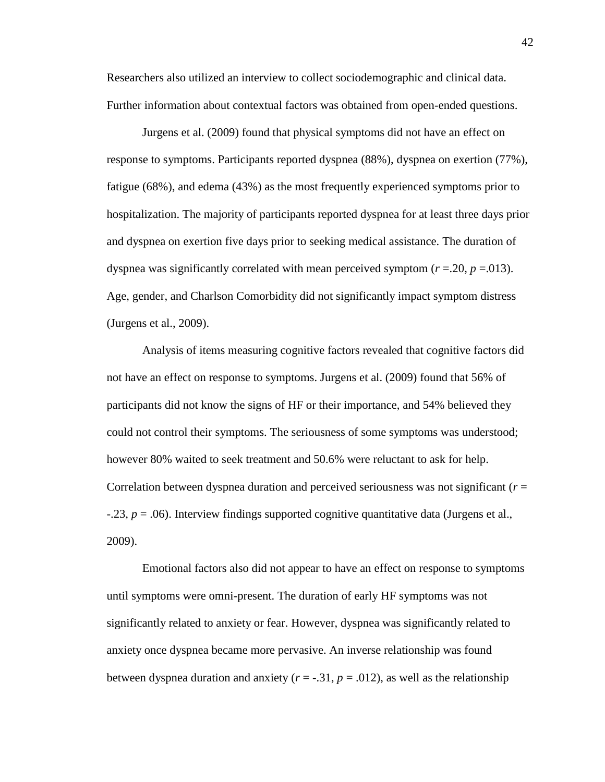Researchers also utilized an interview to collect sociodemographic and clinical data. Further information about contextual factors was obtained from open-ended questions.

Jurgens et al. (2009) found that physical symptoms did not have an effect on response to symptoms. Participants reported dyspnea (88%), dyspnea on exertion (77%), fatigue (68%), and edema (43%) as the most frequently experienced symptoms prior to hospitalization. The majority of participants reported dyspnea for at least three days prior and dyspnea on exertion five days prior to seeking medical assistance. The duration of dyspnea was significantly correlated with mean perceived symptom  $(r = .20, p = .013)$ . Age, gender, and Charlson Comorbidity did not significantly impact symptom distress (Jurgens et al., 2009).

Analysis of items measuring cognitive factors revealed that cognitive factors did not have an effect on response to symptoms. Jurgens et al. (2009) found that 56% of participants did not know the signs of HF or their importance, and 54% believed they could not control their symptoms. The seriousness of some symptoms was understood; however 80% waited to seek treatment and 50.6% were reluctant to ask for help. Correlation between dyspnea duration and perceived seriousness was not significant (*r* = -.23, *p* = .06). Interview findings supported cognitive quantitative data (Jurgens et al., 2009).

Emotional factors also did not appear to have an effect on response to symptoms until symptoms were omni-present. The duration of early HF symptoms was not significantly related to anxiety or fear. However, dyspnea was significantly related to anxiety once dyspnea became more pervasive. An inverse relationship was found between dyspnea duration and anxiety  $(r = -0.31, p = 0.012)$ , as well as the relationship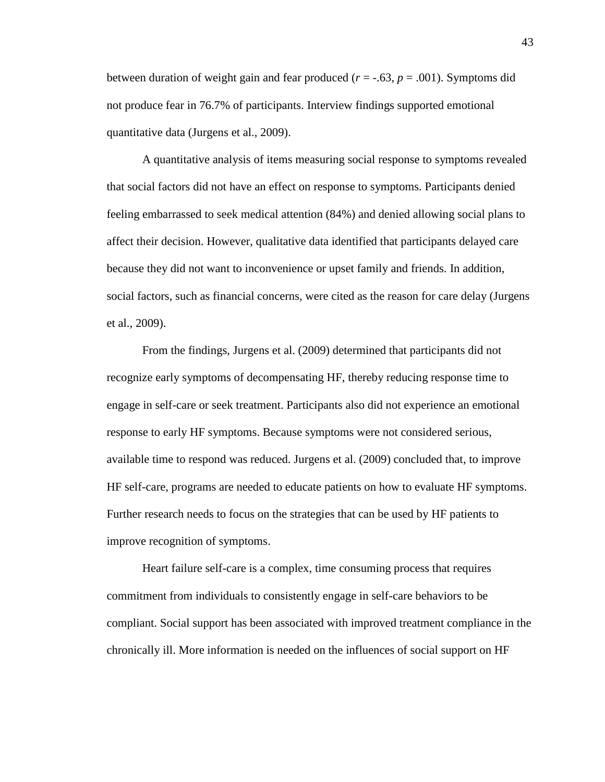between duration of weight gain and fear produced ( $r = -.63$ ,  $p = .001$ ). Symptoms did not produce fear in 76.7% of participants. Interview findings supported emotional quantitative data (Jurgens et al., 2009).

A quantitative analysis of items measuring social response to symptoms revealed that social factors did not have an effect on response to symptoms. Participants denied feeling embarrassed to seek medical attention (84%) and denied allowing social plans to affect their decision. However, qualitative data identified that participants delayed care because they did not want to inconvenience or upset family and friends. In addition, social factors, such as financial concerns, were cited as the reason for care delay (Jurgens et al., 2009).

From the findings, Jurgens et al. (2009) determined that participants did not recognize early symptoms of decompensating HF, thereby reducing response time to engage in self-care or seek treatment. Participants also did not experience an emotional response to early HF symptoms. Because symptoms were not considered serious, available time to respond was reduced. Jurgens et al. (2009) concluded that, to improve HF self-care, programs are needed to educate patients on how to evaluate HF symptoms. Further research needs to focus on the strategies that can be used by HF patients to improve recognition of symptoms.

Heart failure self-care is a complex, time consuming process that requires commitment from individuals to consistently engage in self-care behaviors to be compliant. Social support has been associated with improved treatment compliance in the chronically ill. More information is needed on the influences of social support on HF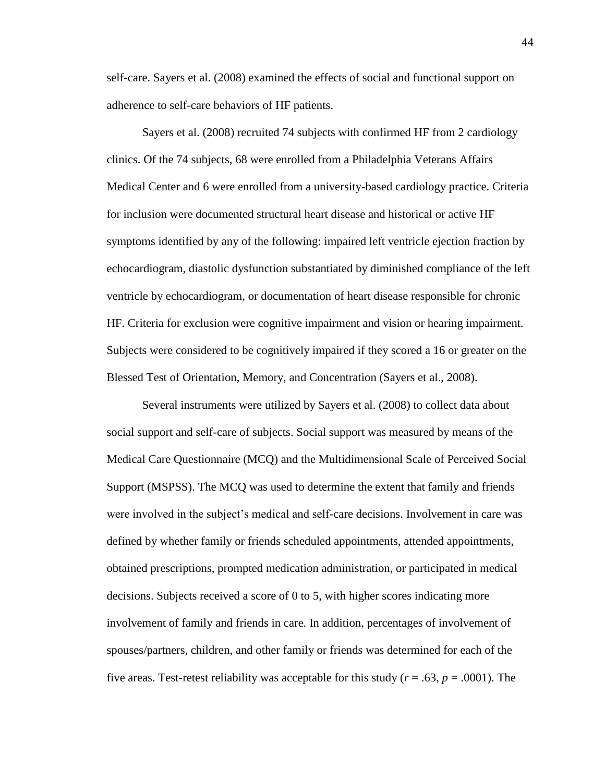self-care. Sayers et al. (2008) examined the effects of social and functional support on adherence to self-care behaviors of HF patients.

Sayers et al. (2008) recruited 74 subjects with confirmed HF from 2 cardiology clinics. Of the 74 subjects, 68 were enrolled from a Philadelphia Veterans Affairs Medical Center and 6 were enrolled from a university-based cardiology practice. Criteria for inclusion were documented structural heart disease and historical or active HF symptoms identified by any of the following: impaired left ventricle ejection fraction by echocardiogram, diastolic dysfunction substantiated by diminished compliance of the left ventricle by echocardiogram, or documentation of heart disease responsible for chronic HF. Criteria for exclusion were cognitive impairment and vision or hearing impairment. Subjects were considered to be cognitively impaired if they scored a 16 or greater on the Blessed Test of Orientation, Memory, and Concentration (Sayers et al., 2008).

Several instruments were utilized by Sayers et al. (2008) to collect data about social support and self-care of subjects. Social support was measured by means of the Medical Care Questionnaire (MCQ) and the Multidimensional Scale of Perceived Social Support (MSPSS). The MCQ was used to determine the extent that family and friends were involved in the subject's medical and self-care decisions. Involvement in care was defined by whether family or friends scheduled appointments, attended appointments, obtained prescriptions, prompted medication administration, or participated in medical decisions. Subjects received a score of 0 to 5, with higher scores indicating more involvement of family and friends in care. In addition, percentages of involvement of spouses/partners, children, and other family or friends was determined for each of the five areas. Test-retest reliability was acceptable for this study  $(r = .63, p = .0001)$ . The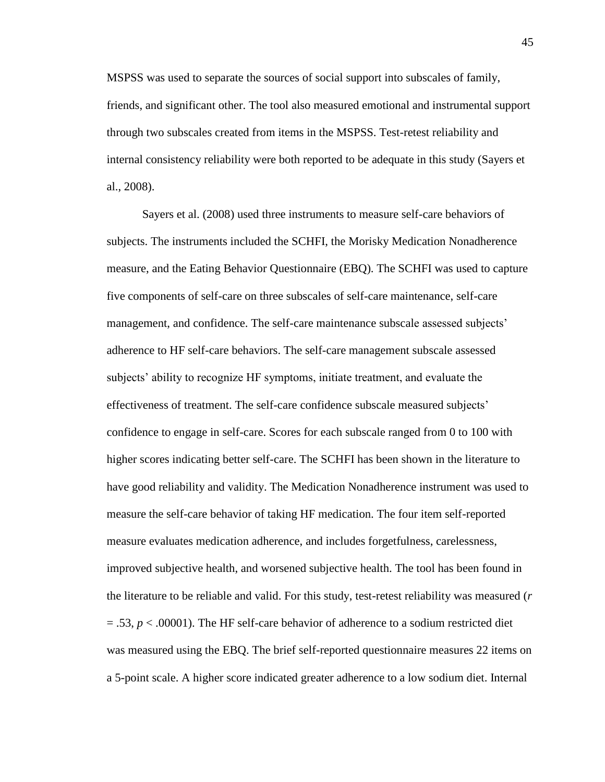MSPSS was used to separate the sources of social support into subscales of family, friends, and significant other. The tool also measured emotional and instrumental support through two subscales created from items in the MSPSS. Test-retest reliability and internal consistency reliability were both reported to be adequate in this study (Sayers et al., 2008).

Sayers et al. (2008) used three instruments to measure self-care behaviors of subjects. The instruments included the SCHFI, the Morisky Medication Nonadherence measure, and the Eating Behavior Questionnaire (EBQ). The SCHFI was used to capture five components of self-care on three subscales of self-care maintenance, self-care management, and confidence. The self-care maintenance subscale assessed subjects' adherence to HF self-care behaviors. The self-care management subscale assessed subjects' ability to recognize HF symptoms, initiate treatment, and evaluate the effectiveness of treatment. The self-care confidence subscale measured subjects' confidence to engage in self-care. Scores for each subscale ranged from 0 to 100 with higher scores indicating better self-care. The SCHFI has been shown in the literature to have good reliability and validity. The Medication Nonadherence instrument was used to measure the self-care behavior of taking HF medication. The four item self-reported measure evaluates medication adherence, and includes forgetfulness, carelessness, improved subjective health, and worsened subjective health. The tool has been found in the literature to be reliable and valid. For this study, test-retest reliability was measured (*r* = .53, *p* < .00001). The HF self-care behavior of adherence to a sodium restricted diet was measured using the EBQ. The brief self-reported questionnaire measures 22 items on a 5-point scale. A higher score indicated greater adherence to a low sodium diet. Internal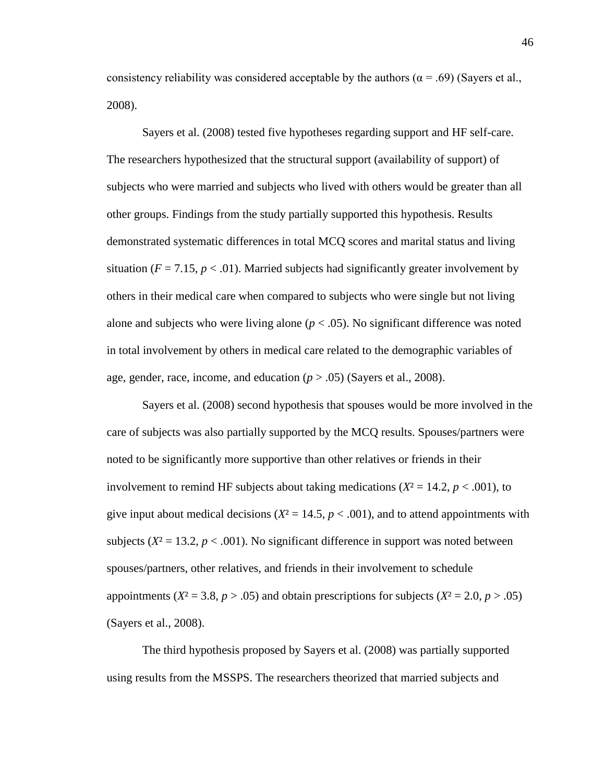consistency reliability was considered acceptable by the authors ( $\alpha$  = .69) (Sayers et al., 2008).

Sayers et al. (2008) tested five hypotheses regarding support and HF self-care. The researchers hypothesized that the structural support (availability of support) of subjects who were married and subjects who lived with others would be greater than all other groups. Findings from the study partially supported this hypothesis. Results demonstrated systematic differences in total MCQ scores and marital status and living situation ( $F = 7.15$ ,  $p < .01$ ). Married subjects had significantly greater involvement by others in their medical care when compared to subjects who were single but not living alone and subjects who were living alone  $(p < .05)$ . No significant difference was noted in total involvement by others in medical care related to the demographic variables of age, gender, race, income, and education  $(p > .05)$  (Sayers et al., 2008).

Sayers et al. (2008) second hypothesis that spouses would be more involved in the care of subjects was also partially supported by the MCQ results. Spouses/partners were noted to be significantly more supportive than other relatives or friends in their involvement to remind HF subjects about taking medications ( $X^2 = 14.2$ ,  $p < .001$ ), to give input about medical decisions  $(X^2 = 14.5, p < .001)$ , and to attend appointments with subjects  $(X^2 = 13.2, p < .001)$ . No significant difference in support was noted between spouses/partners, other relatives, and friends in their involvement to schedule appointments ( $X^2 = 3.8$ ,  $p > .05$ ) and obtain prescriptions for subjects ( $X^2 = 2.0$ ,  $p > .05$ ) (Sayers et al., 2008).

The third hypothesis proposed by Sayers et al. (2008) was partially supported using results from the MSSPS. The researchers theorized that married subjects and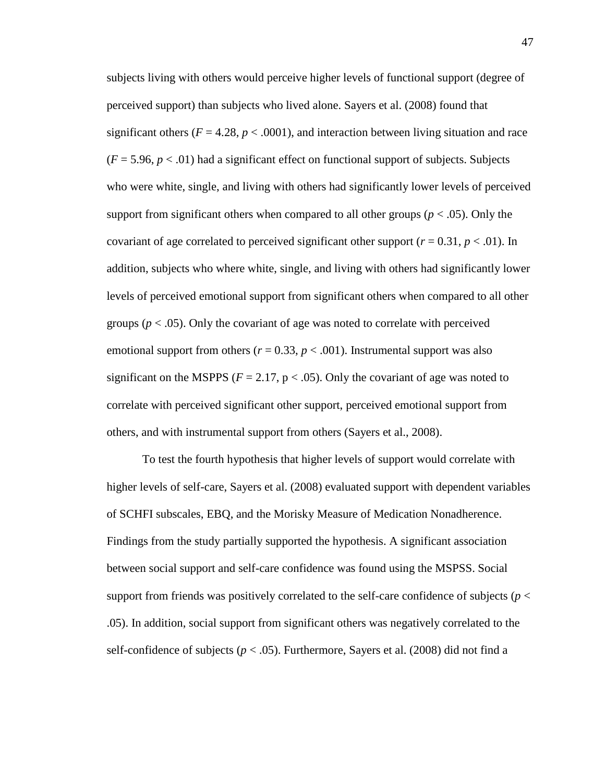subjects living with others would perceive higher levels of functional support (degree of perceived support) than subjects who lived alone. Sayers et al. (2008) found that significant others ( $F = 4.28$ ,  $p < .0001$ ), and interaction between living situation and race  $(F = 5.96, p < .01)$  had a significant effect on functional support of subjects. Subjects who were white, single, and living with others had significantly lower levels of perceived support from significant others when compared to all other groups ( $p < .05$ ). Only the covariant of age correlated to perceived significant other support ( $r = 0.31$ ,  $p < .01$ ). In addition, subjects who where white, single, and living with others had significantly lower levels of perceived emotional support from significant others when compared to all other groups ( $p < .05$ ). Only the covariant of age was noted to correlate with perceived emotional support from others ( $r = 0.33$ ,  $p < .001$ ). Instrumental support was also significant on the MSPPS ( $F = 2.17$ ,  $p < .05$ ). Only the covariant of age was noted to correlate with perceived significant other support, perceived emotional support from others, and with instrumental support from others (Sayers et al., 2008).

To test the fourth hypothesis that higher levels of support would correlate with higher levels of self-care, Sayers et al. (2008) evaluated support with dependent variables of SCHFI subscales, EBQ, and the Morisky Measure of Medication Nonadherence. Findings from the study partially supported the hypothesis. A significant association between social support and self-care confidence was found using the MSPSS. Social support from friends was positively correlated to the self-care confidence of subjects (*p* < .05). In addition, social support from significant others was negatively correlated to the self-confidence of subjects ( $p < .05$ ). Furthermore, Sayers et al. (2008) did not find a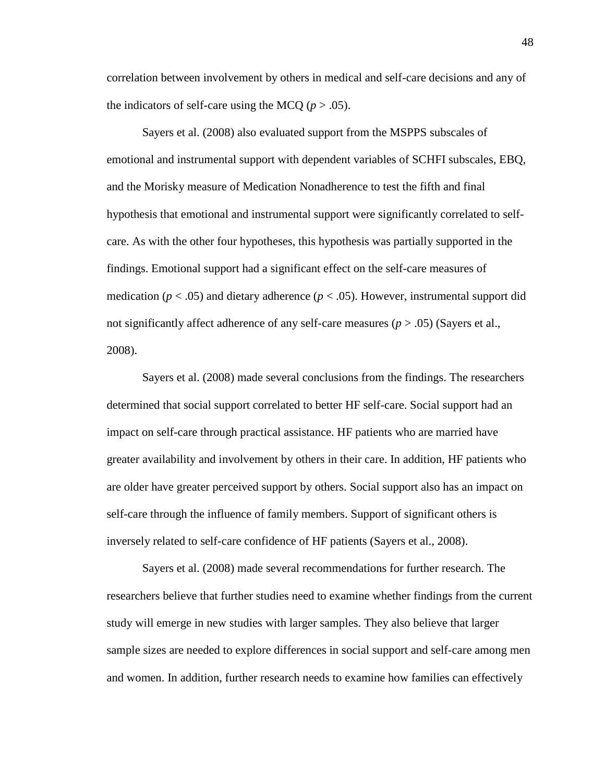correlation between involvement by others in medical and self-care decisions and any of the indicators of self-care using the MCQ  $(p > .05)$ .

Sayers et al. (2008) also evaluated support from the MSPPS subscales of emotional and instrumental support with dependent variables of SCHFI subscales, EBQ, and the Morisky measure of Medication Nonadherence to test the fifth and final hypothesis that emotional and instrumental support were significantly correlated to selfcare. As with the other four hypotheses, this hypothesis was partially supported in the findings. Emotional support had a significant effect on the self-care measures of medication ( $p < .05$ ) and dietary adherence ( $p < .05$ ). However, instrumental support did not significantly affect adherence of any self-care measures  $(p > .05)$  (Sayers et al., 2008).

Sayers et al. (2008) made several conclusions from the findings. The researchers determined that social support correlated to better HF self-care. Social support had an impact on self-care through practical assistance. HF patients who are married have greater availability and involvement by others in their care. In addition, HF patients who are older have greater perceived support by others. Social support also has an impact on self-care through the influence of family members. Support of significant others is inversely related to self-care confidence of HF patients (Sayers et al., 2008).

Sayers et al. (2008) made several recommendations for further research. The researchers believe that further studies need to examine whether findings from the current study will emerge in new studies with larger samples. They also believe that larger sample sizes are needed to explore differences in social support and self-care among men and women. In addition, further research needs to examine how families can effectively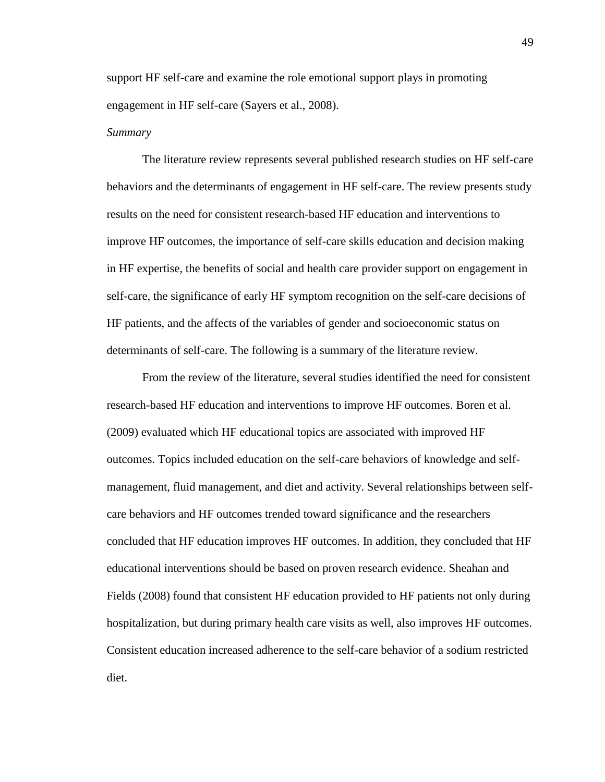support HF self-care and examine the role emotional support plays in promoting engagement in HF self-care (Sayers et al., 2008).

#### *Summary*

The literature review represents several published research studies on HF self-care behaviors and the determinants of engagement in HF self-care. The review presents study results on the need for consistent research-based HF education and interventions to improve HF outcomes, the importance of self-care skills education and decision making in HF expertise, the benefits of social and health care provider support on engagement in self-care, the significance of early HF symptom recognition on the self-care decisions of HF patients, and the affects of the variables of gender and socioeconomic status on determinants of self-care. The following is a summary of the literature review.

From the review of the literature, several studies identified the need for consistent research-based HF education and interventions to improve HF outcomes. Boren et al. (2009) evaluated which HF educational topics are associated with improved HF outcomes. Topics included education on the self-care behaviors of knowledge and selfmanagement, fluid management, and diet and activity. Several relationships between selfcare behaviors and HF outcomes trended toward significance and the researchers concluded that HF education improves HF outcomes. In addition, they concluded that HF educational interventions should be based on proven research evidence. Sheahan and Fields (2008) found that consistent HF education provided to HF patients not only during hospitalization, but during primary health care visits as well, also improves HF outcomes. Consistent education increased adherence to the self-care behavior of a sodium restricted diet.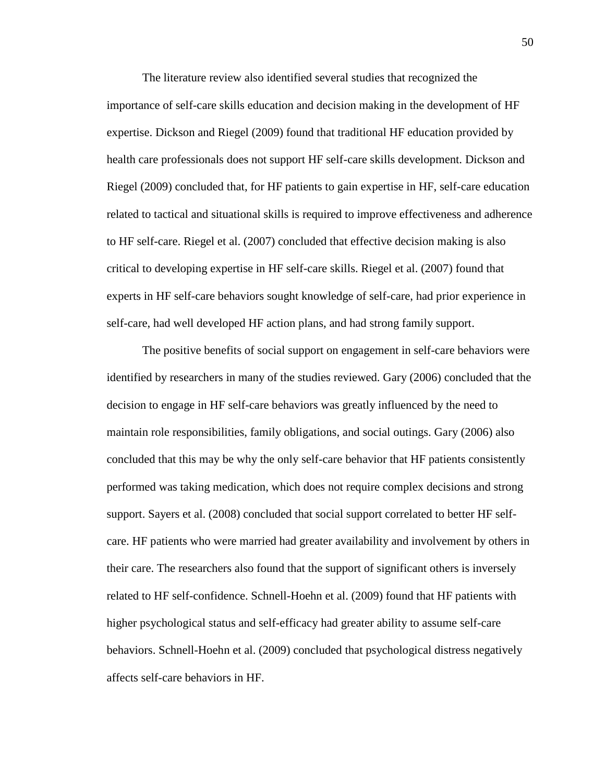The literature review also identified several studies that recognized the importance of self-care skills education and decision making in the development of HF expertise. Dickson and Riegel (2009) found that traditional HF education provided by health care professionals does not support HF self-care skills development. Dickson and Riegel (2009) concluded that, for HF patients to gain expertise in HF, self-care education related to tactical and situational skills is required to improve effectiveness and adherence to HF self-care. Riegel et al. (2007) concluded that effective decision making is also critical to developing expertise in HF self-care skills. Riegel et al. (2007) found that experts in HF self-care behaviors sought knowledge of self-care, had prior experience in self-care, had well developed HF action plans, and had strong family support.

The positive benefits of social support on engagement in self-care behaviors were identified by researchers in many of the studies reviewed. Gary (2006) concluded that the decision to engage in HF self-care behaviors was greatly influenced by the need to maintain role responsibilities, family obligations, and social outings. Gary (2006) also concluded that this may be why the only self-care behavior that HF patients consistently performed was taking medication, which does not require complex decisions and strong support. Sayers et al. (2008) concluded that social support correlated to better HF selfcare. HF patients who were married had greater availability and involvement by others in their care. The researchers also found that the support of significant others is inversely related to HF self-confidence. Schnell-Hoehn et al. (2009) found that HF patients with higher psychological status and self-efficacy had greater ability to assume self-care behaviors. Schnell-Hoehn et al. (2009) concluded that psychological distress negatively affects self-care behaviors in HF.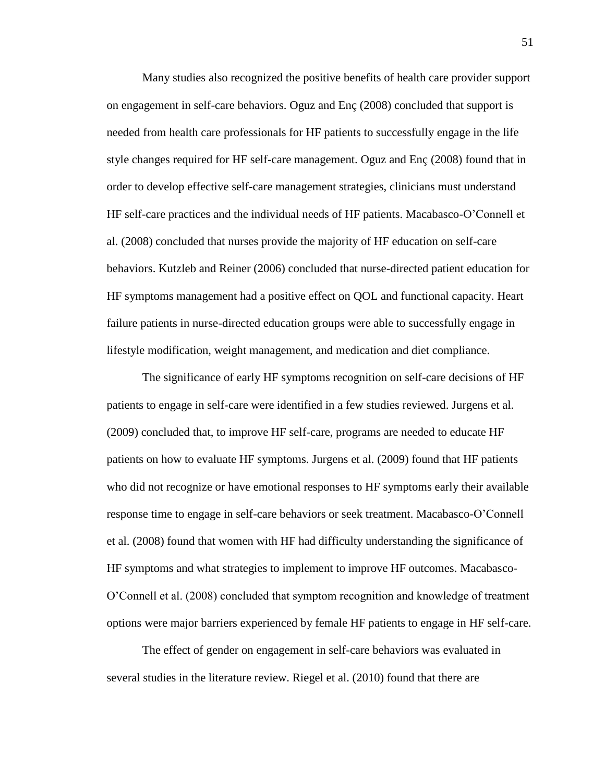Many studies also recognized the positive benefits of health care provider support on engagement in self-care behaviors. Oguz and Enç (2008) concluded that support is needed from health care professionals for HF patients to successfully engage in the life style changes required for HF self-care management. Oguz and Enç (2008) found that in order to develop effective self-care management strategies, clinicians must understand HF self-care practices and the individual needs of HF patients. Macabasco-O'Connell et al. (2008) concluded that nurses provide the majority of HF education on self-care behaviors. Kutzleb and Reiner (2006) concluded that nurse-directed patient education for HF symptoms management had a positive effect on QOL and functional capacity. Heart failure patients in nurse-directed education groups were able to successfully engage in lifestyle modification, weight management, and medication and diet compliance.

The significance of early HF symptoms recognition on self-care decisions of HF patients to engage in self-care were identified in a few studies reviewed. Jurgens et al. (2009) concluded that, to improve HF self-care, programs are needed to educate HF patients on how to evaluate HF symptoms. Jurgens et al. (2009) found that HF patients who did not recognize or have emotional responses to HF symptoms early their available response time to engage in self-care behaviors or seek treatment. Macabasco-O'Connell et al. (2008) found that women with HF had difficulty understanding the significance of HF symptoms and what strategies to implement to improve HF outcomes. Macabasco-O'Connell et al. (2008) concluded that symptom recognition and knowledge of treatment options were major barriers experienced by female HF patients to engage in HF self-care.

 The effect of gender on engagement in self-care behaviors was evaluated in several studies in the literature review. Riegel et al. (2010) found that there are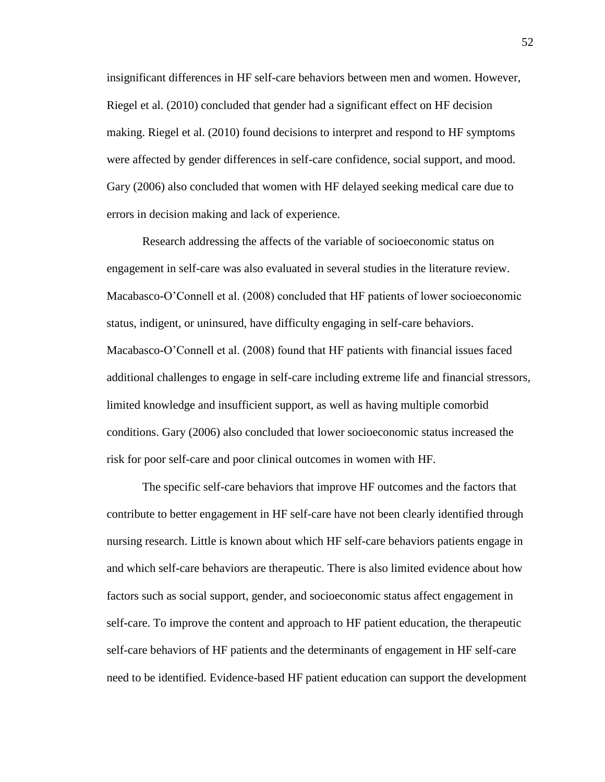insignificant differences in HF self-care behaviors between men and women. However, Riegel et al. (2010) concluded that gender had a significant effect on HF decision making. Riegel et al. (2010) found decisions to interpret and respond to HF symptoms were affected by gender differences in self-care confidence, social support, and mood. Gary (2006) also concluded that women with HF delayed seeking medical care due to errors in decision making and lack of experience.

Research addressing the affects of the variable of socioeconomic status on engagement in self-care was also evaluated in several studies in the literature review. Macabasco-O'Connell et al. (2008) concluded that HF patients of lower socioeconomic status, indigent, or uninsured, have difficulty engaging in self-care behaviors. Macabasco-O'Connell et al. (2008) found that HF patients with financial issues faced additional challenges to engage in self-care including extreme life and financial stressors, limited knowledge and insufficient support, as well as having multiple comorbid conditions. Gary (2006) also concluded that lower socioeconomic status increased the risk for poor self-care and poor clinical outcomes in women with HF.

The specific self-care behaviors that improve HF outcomes and the factors that contribute to better engagement in HF self-care have not been clearly identified through nursing research. Little is known about which HF self-care behaviors patients engage in and which self-care behaviors are therapeutic. There is also limited evidence about how factors such as social support, gender, and socioeconomic status affect engagement in self-care. To improve the content and approach to HF patient education, the therapeutic self-care behaviors of HF patients and the determinants of engagement in HF self-care need to be identified. Evidence-based HF patient education can support the development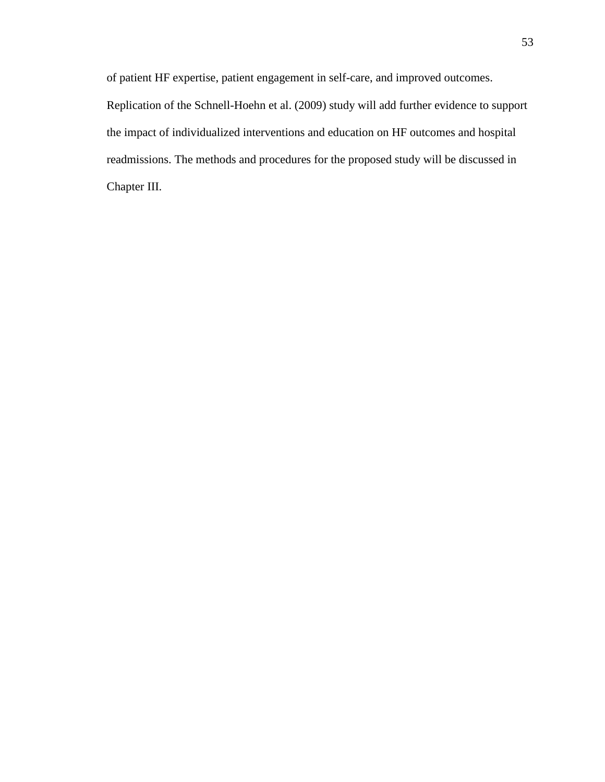of patient HF expertise, patient engagement in self-care, and improved outcomes. Replication of the Schnell-Hoehn et al. (2009) study will add further evidence to support the impact of individualized interventions and education on HF outcomes and hospital readmissions. The methods and procedures for the proposed study will be discussed in Chapter III.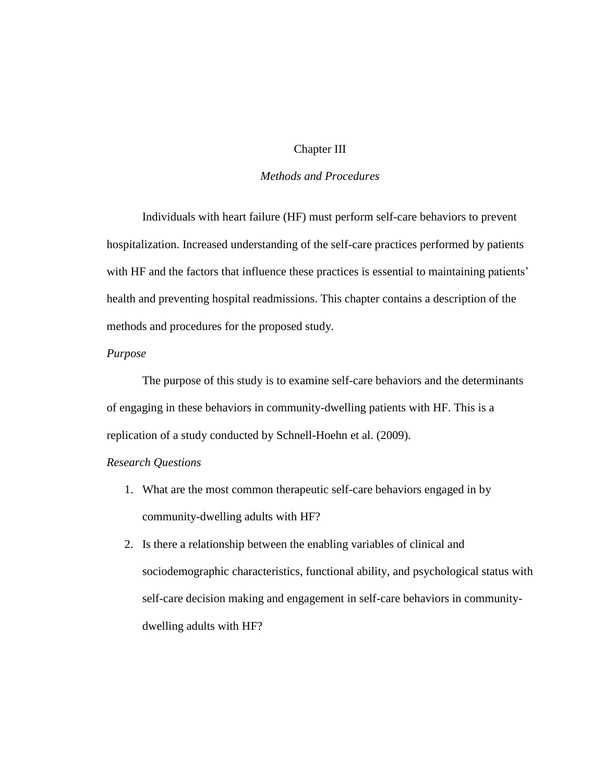# Chapter III

# *Methods and Procedures*

Individuals with heart failure (HF) must perform self-care behaviors to prevent hospitalization. Increased understanding of the self-care practices performed by patients with HF and the factors that influence these practices is essential to maintaining patients' health and preventing hospital readmissions. This chapter contains a description of the methods and procedures for the proposed study.

## *Purpose*

The purpose of this study is to examine self-care behaviors and the determinants of engaging in these behaviors in community-dwelling patients with HF. This is a replication of a study conducted by Schnell-Hoehn et al. (2009).

# *Research Questions*

- 1. What are the most common therapeutic self-care behaviors engaged in by community-dwelling adults with HF?
- 2. Is there a relationship between the enabling variables of clinical and sociodemographic characteristics, functional ability, and psychological status with self-care decision making and engagement in self-care behaviors in communitydwelling adults with HF?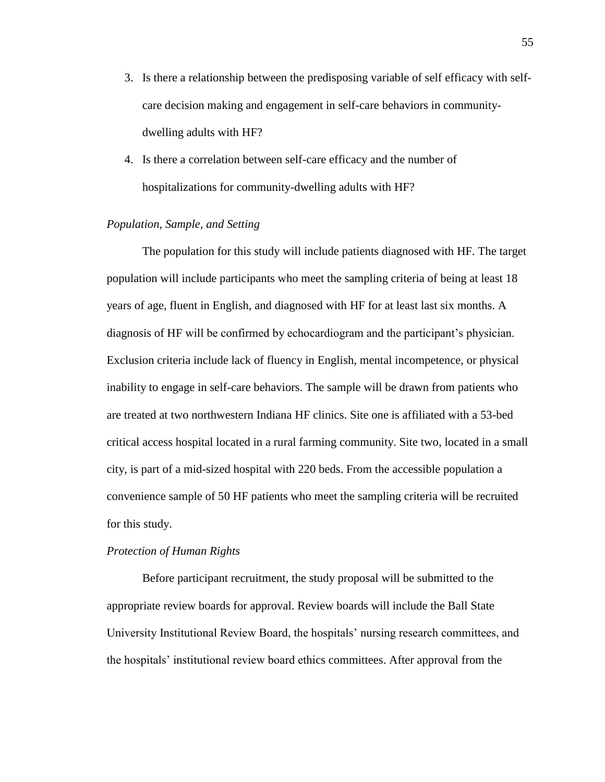- 3. Is there a relationship between the predisposing variable of self efficacy with selfcare decision making and engagement in self-care behaviors in communitydwelling adults with HF?
- 4. Is there a correlation between self-care efficacy and the number of hospitalizations for community-dwelling adults with HF?

# *Population, Sample, and Setting*

The population for this study will include patients diagnosed with HF. The target population will include participants who meet the sampling criteria of being at least 18 years of age, fluent in English, and diagnosed with HF for at least last six months. A diagnosis of HF will be confirmed by echocardiogram and the participant's physician. Exclusion criteria include lack of fluency in English, mental incompetence, or physical inability to engage in self-care behaviors. The sample will be drawn from patients who are treated at two northwestern Indiana HF clinics. Site one is affiliated with a 53-bed critical access hospital located in a rural farming community. Site two, located in a small city, is part of a mid-sized hospital with 220 beds. From the accessible population a convenience sample of 50 HF patients who meet the sampling criteria will be recruited for this study.

## *Protection of Human Rights*

Before participant recruitment, the study proposal will be submitted to the appropriate review boards for approval. Review boards will include the Ball State University Institutional Review Board, the hospitals' nursing research committees, and the hospitals' institutional review board ethics committees. After approval from the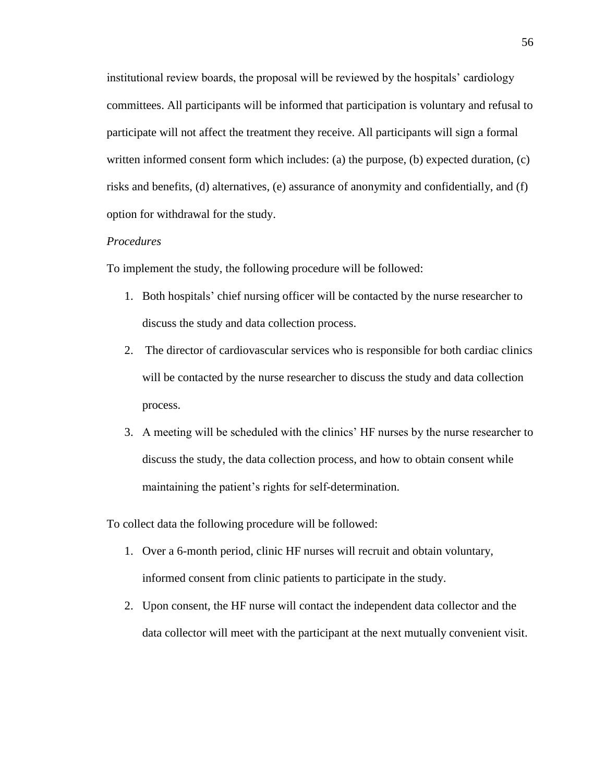institutional review boards, the proposal will be reviewed by the hospitals' cardiology committees. All participants will be informed that participation is voluntary and refusal to participate will not affect the treatment they receive. All participants will sign a formal written informed consent form which includes: (a) the purpose, (b) expected duration, (c) risks and benefits, (d) alternatives, (e) assurance of anonymity and confidentially, and (f) option for withdrawal for the study.

## *Procedures*

To implement the study, the following procedure will be followed:

- 1. Both hospitals' chief nursing officer will be contacted by the nurse researcher to discuss the study and data collection process.
- 2. The director of cardiovascular services who is responsible for both cardiac clinics will be contacted by the nurse researcher to discuss the study and data collection process.
- 3. A meeting will be scheduled with the clinics' HF nurses by the nurse researcher to discuss the study, the data collection process, and how to obtain consent while maintaining the patient's rights for self-determination.

To collect data the following procedure will be followed:

- 1. Over a 6-month period, clinic HF nurses will recruit and obtain voluntary, informed consent from clinic patients to participate in the study.
- 2. Upon consent, the HF nurse will contact the independent data collector and the data collector will meet with the participant at the next mutually convenient visit.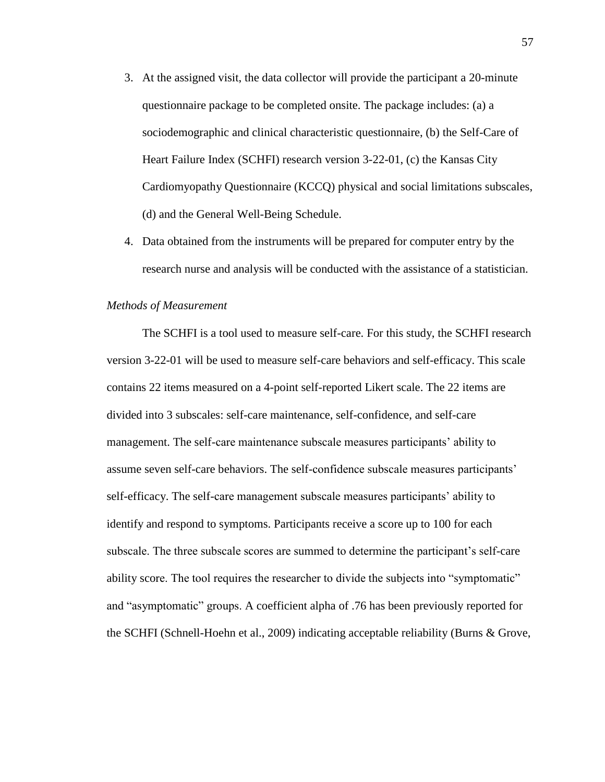- 3. At the assigned visit, the data collector will provide the participant a 20-minute questionnaire package to be completed onsite. The package includes: (a) a sociodemographic and clinical characteristic questionnaire, (b) the Self-Care of Heart Failure Index (SCHFI) research version 3-22-01, (c) the Kansas City Cardiomyopathy Questionnaire (KCCQ) physical and social limitations subscales, (d) and the General Well-Being Schedule.
- 4. Data obtained from the instruments will be prepared for computer entry by the research nurse and analysis will be conducted with the assistance of a statistician.

## *Methods of Measurement*

The SCHFI is a tool used to measure self-care. For this study, the SCHFI research version 3-22-01 will be used to measure self-care behaviors and self-efficacy. This scale contains 22 items measured on a 4-point self-reported Likert scale. The 22 items are divided into 3 subscales: self-care maintenance, self-confidence, and self-care management. The self-care maintenance subscale measures participants' ability to assume seven self-care behaviors. The self-confidence subscale measures participants' self-efficacy. The self-care management subscale measures participants' ability to identify and respond to symptoms. Participants receive a score up to 100 for each subscale. The three subscale scores are summed to determine the participant's self-care ability score. The tool requires the researcher to divide the subjects into "symptomatic" and "asymptomatic" groups. A coefficient alpha of .76 has been previously reported for the SCHFI (Schnell-Hoehn et al., 2009) indicating acceptable reliability (Burns & Grove,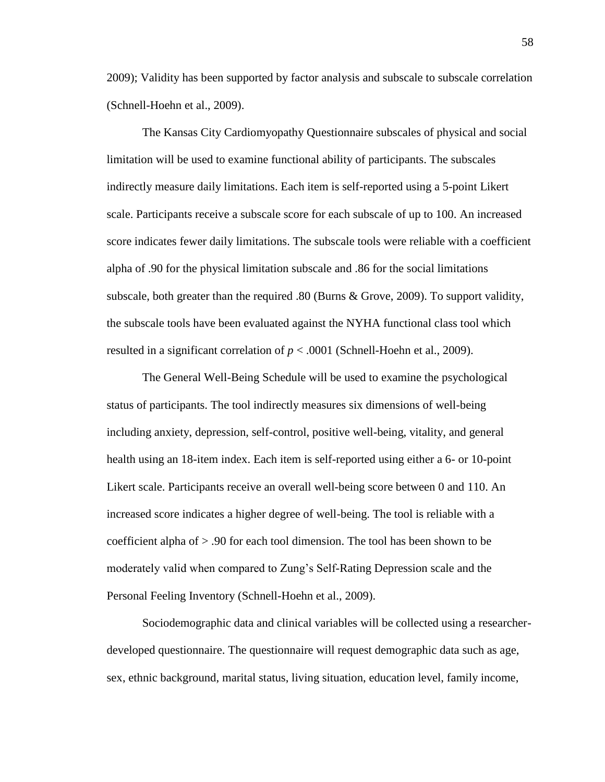2009); Validity has been supported by factor analysis and subscale to subscale correlation (Schnell-Hoehn et al., 2009).

The Kansas City Cardiomyopathy Questionnaire subscales of physical and social limitation will be used to examine functional ability of participants. The subscales indirectly measure daily limitations. Each item is self-reported using a 5-point Likert scale. Participants receive a subscale score for each subscale of up to 100. An increased score indicates fewer daily limitations. The subscale tools were reliable with a coefficient alpha of .90 for the physical limitation subscale and .86 for the social limitations subscale, both greater than the required .80 (Burns & Grove, 2009). To support validity, the subscale tools have been evaluated against the NYHA functional class tool which resulted in a significant correlation of *p* < .0001 (Schnell-Hoehn et al., 2009).

The General Well-Being Schedule will be used to examine the psychological status of participants. The tool indirectly measures six dimensions of well-being including anxiety, depression, self-control, positive well-being, vitality, and general health using an 18-item index. Each item is self-reported using either a 6- or 10-point Likert scale. Participants receive an overall well-being score between 0 and 110. An increased score indicates a higher degree of well-being. The tool is reliable with a coefficient alpha of > .90 for each tool dimension. The tool has been shown to be moderately valid when compared to Zung's Self-Rating Depression scale and the Personal Feeling Inventory (Schnell-Hoehn et al., 2009).

Sociodemographic data and clinical variables will be collected using a researcherdeveloped questionnaire. The questionnaire will request demographic data such as age, sex, ethnic background, marital status, living situation, education level, family income,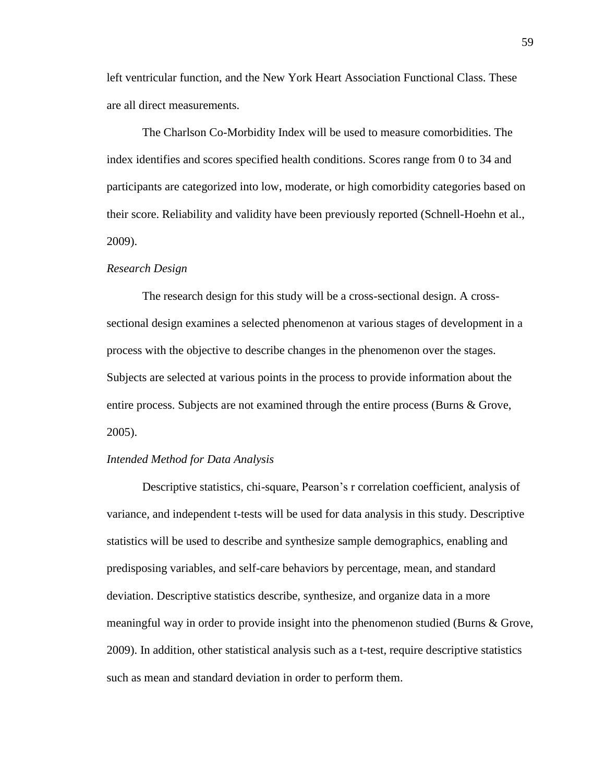left ventricular function, and the New York Heart Association Functional Class. These are all direct measurements.

The Charlson Co-Morbidity Index will be used to measure comorbidities. The index identifies and scores specified health conditions. Scores range from 0 to 34 and participants are categorized into low, moderate, or high comorbidity categories based on their score. Reliability and validity have been previously reported (Schnell-Hoehn et al., 2009).

#### *Research Design*

The research design for this study will be a cross-sectional design. A crosssectional design examines a selected phenomenon at various stages of development in a process with the objective to describe changes in the phenomenon over the stages. Subjects are selected at various points in the process to provide information about the entire process. Subjects are not examined through the entire process (Burns & Grove, 2005).

## *Intended Method for Data Analysis*

Descriptive statistics, chi-square, Pearson's r correlation coefficient, analysis of variance, and independent t-tests will be used for data analysis in this study. Descriptive statistics will be used to describe and synthesize sample demographics, enabling and predisposing variables, and self-care behaviors by percentage, mean, and standard deviation. Descriptive statistics describe, synthesize, and organize data in a more meaningful way in order to provide insight into the phenomenon studied (Burns & Grove, 2009). In addition, other statistical analysis such as a t-test, require descriptive statistics such as mean and standard deviation in order to perform them.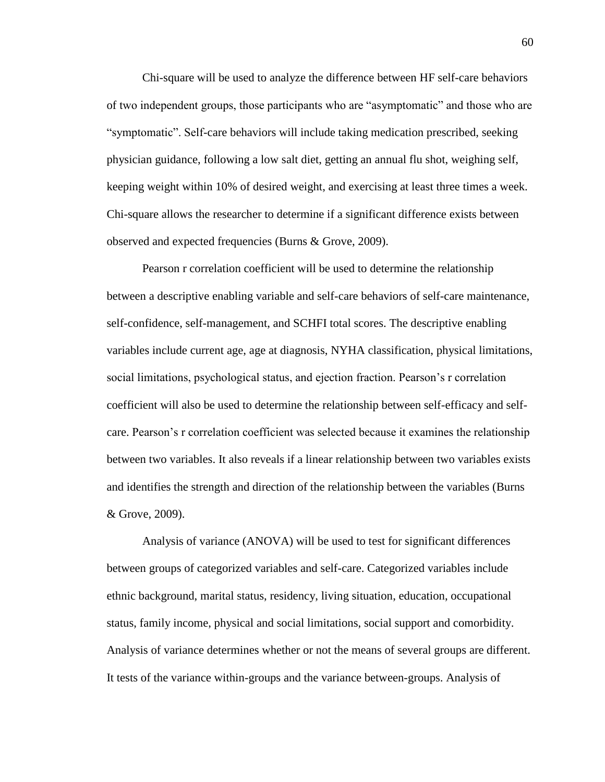Chi-square will be used to analyze the difference between HF self-care behaviors of two independent groups, those participants who are "asymptomatic" and those who are "symptomatic". Self-care behaviors will include taking medication prescribed, seeking physician guidance, following a low salt diet, getting an annual flu shot, weighing self, keeping weight within 10% of desired weight, and exercising at least three times a week. Chi-square allows the researcher to determine if a significant difference exists between observed and expected frequencies (Burns & Grove, 2009).

Pearson r correlation coefficient will be used to determine the relationship between a descriptive enabling variable and self-care behaviors of self-care maintenance, self-confidence, self-management, and SCHFI total scores. The descriptive enabling variables include current age, age at diagnosis, NYHA classification, physical limitations, social limitations, psychological status, and ejection fraction. Pearson's r correlation coefficient will also be used to determine the relationship between self-efficacy and selfcare. Pearson's r correlation coefficient was selected because it examines the relationship between two variables. It also reveals if a linear relationship between two variables exists and identifies the strength and direction of the relationship between the variables (Burns & Grove, 2009).

Analysis of variance (ANOVA) will be used to test for significant differences between groups of categorized variables and self-care. Categorized variables include ethnic background, marital status, residency, living situation, education, occupational status, family income, physical and social limitations, social support and comorbidity. Analysis of variance determines whether or not the means of several groups are different. It tests of the variance within-groups and the variance between-groups. Analysis of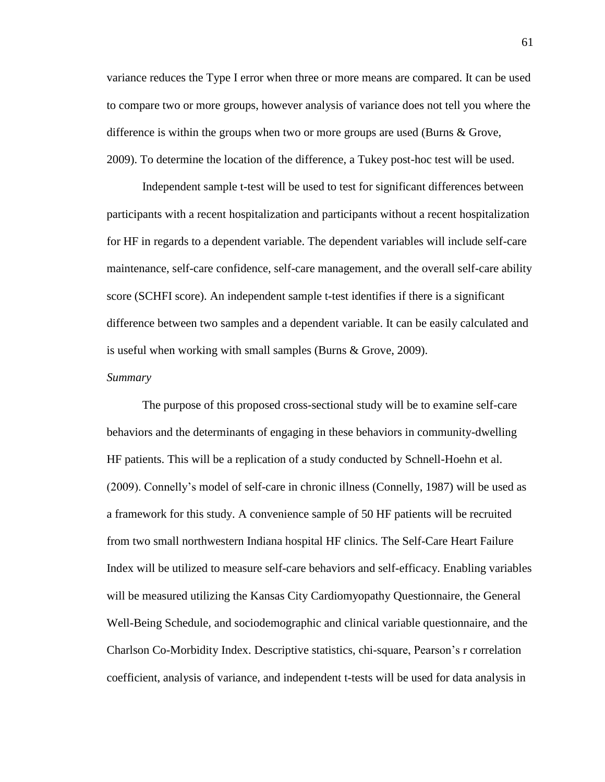variance reduces the Type I error when three or more means are compared. It can be used to compare two or more groups, however analysis of variance does not tell you where the difference is within the groups when two or more groups are used (Burns & Grove, 2009). To determine the location of the difference, a Tukey post-hoc test will be used.

Independent sample t-test will be used to test for significant differences between participants with a recent hospitalization and participants without a recent hospitalization for HF in regards to a dependent variable. The dependent variables will include self-care maintenance, self-care confidence, self-care management, and the overall self-care ability score (SCHFI score). An independent sample t-test identifies if there is a significant difference between two samples and a dependent variable. It can be easily calculated and is useful when working with small samples (Burns & Grove, 2009).

### *Summary*

The purpose of this proposed cross-sectional study will be to examine self-care behaviors and the determinants of engaging in these behaviors in community-dwelling HF patients. This will be a replication of a study conducted by Schnell-Hoehn et al. (2009). Connelly's model of self-care in chronic illness (Connelly, 1987) will be used as a framework for this study. A convenience sample of 50 HF patients will be recruited from two small northwestern Indiana hospital HF clinics. The Self-Care Heart Failure Index will be utilized to measure self-care behaviors and self-efficacy. Enabling variables will be measured utilizing the Kansas City Cardiomyopathy Questionnaire, the General Well-Being Schedule, and sociodemographic and clinical variable questionnaire, and the Charlson Co-Morbidity Index. Descriptive statistics, chi-square, Pearson's r correlation coefficient, analysis of variance, and independent t-tests will be used for data analysis in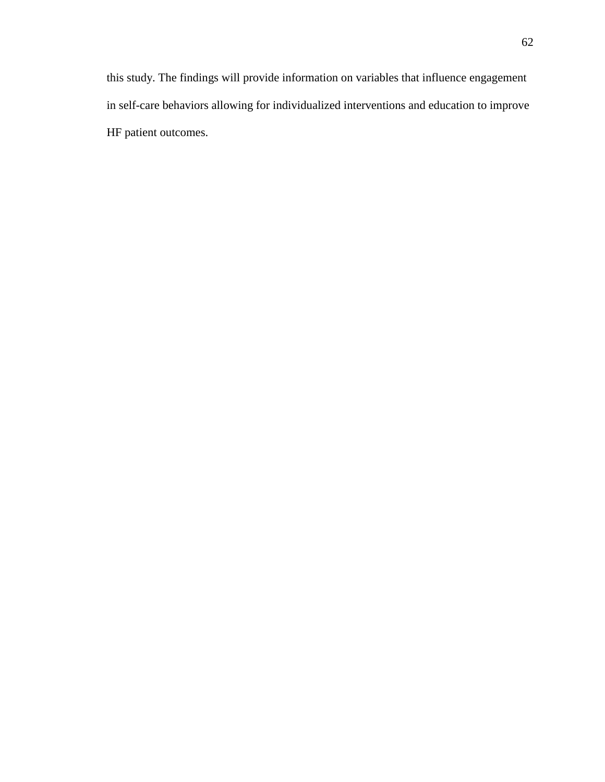this study. The findings will provide information on variables that influence engagement in self-care behaviors allowing for individualized interventions and education to improve HF patient outcomes.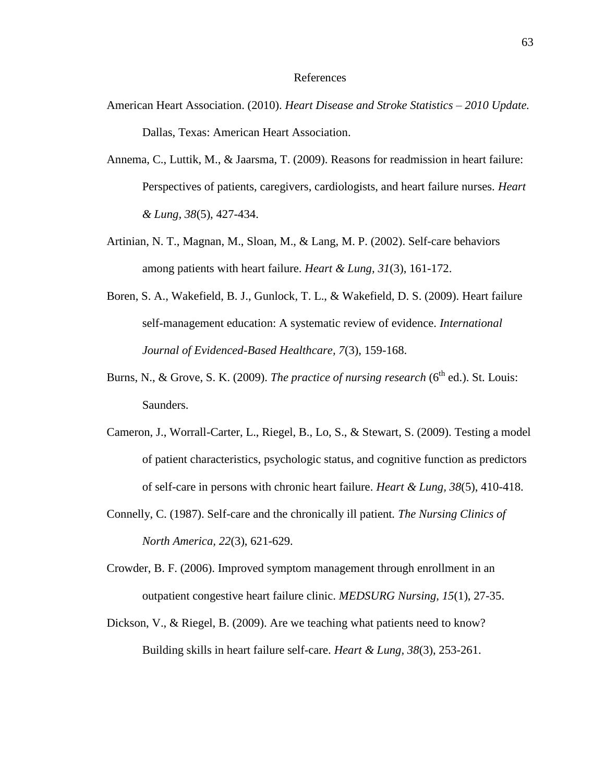#### References

- American Heart Association. (2010). *Heart Disease and Stroke Statistics – 2010 Update.* Dallas, Texas: American Heart Association.
- Annema, C., Luttik, M., & Jaarsma, T. (2009). Reasons for readmission in heart failure: Perspectives of patients, caregivers, cardiologists, and heart failure nurses. *Heart & Lung, 38*(5), 427-434.
- Artinian, N. T., Magnan, M., Sloan, M., & Lang, M. P. (2002). Self-care behaviors among patients with heart failure. *Heart & Lung, 31*(3), 161-172.
- Boren, S. A., Wakefield, B. J., Gunlock, T. L., & Wakefield, D. S. (2009). Heart failure self-management education: A systematic review of evidence. *International Journal of Evidenced-Based Healthcare, 7*(3), 159-168.
- Burns, N., & Grove, S. K. (2009). *The practice of nursing research* ( $6<sup>th</sup>$  ed.). St. Louis: Saunders.
- Cameron, J., Worrall-Carter, L., Riegel, B., Lo, S., & Stewart, S. (2009). Testing a model of patient characteristics, psychologic status, and cognitive function as predictors of self-care in persons with chronic heart failure. *Heart & Lung, 38*(5), 410-418.
- Connelly, C. (1987). Self-care and the chronically ill patient*. The Nursing Clinics of North America, 22*(3), 621-629.
- Crowder, B. F. (2006). Improved symptom management through enrollment in an outpatient congestive heart failure clinic. *MEDSURG Nursing, 15*(1), 27-35.
- Dickson, V., & Riegel, B. (2009). Are we teaching what patients need to know? Building skills in heart failure self-care. *Heart & Lung, 38*(3), 253-261.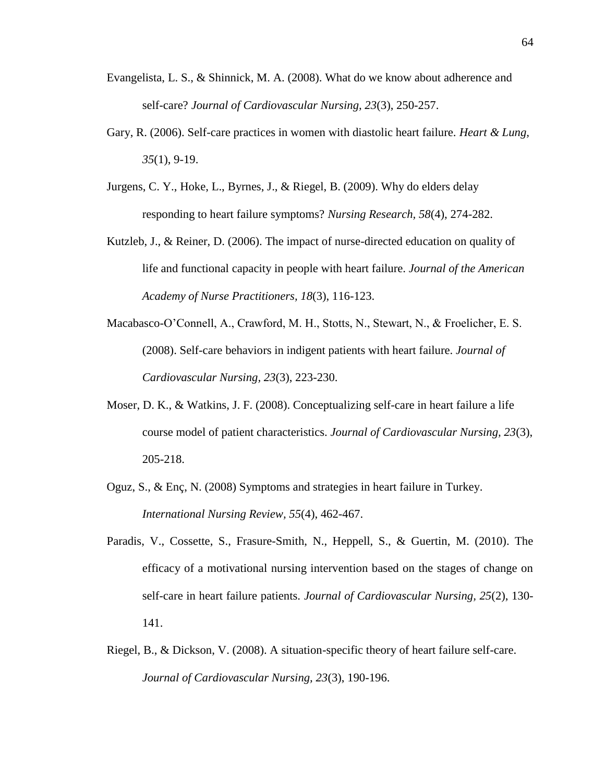- Evangelista, L. S., & Shinnick, M. A. (2008). What do we know about adherence and self-care? *Journal of Cardiovascular Nursing, 23*(3), 250-257.
- Gary, R. (2006). Self-care practices in women with diastolic heart failure. *Heart & Lung, 35*(1), 9-19.
- Jurgens, C. Y., Hoke, L., Byrnes, J., & Riegel, B. (2009). Why do elders delay responding to heart failure symptoms? *Nursing Research, 58*(4), 274-282.
- Kutzleb, J., & Reiner, D. (2006). The impact of nurse-directed education on quality of life and functional capacity in people with heart failure. *Journal of the American Academy of Nurse Practitioners, 18*(3), 116-123.
- Macabasco-O'Connell, A., Crawford, M. H., Stotts, N., Stewart, N., & Froelicher, E. S. (2008). Self-care behaviors in indigent patients with heart failure. *Journal of Cardiovascular Nursing, 23*(3), 223-230.
- Moser, D. K., & Watkins, J. F. (2008). Conceptualizing self-care in heart failure a life course model of patient characteristics. *Journal of Cardiovascular Nursing, 23*(3), 205-218.
- Oguz, S., & Enç, N. (2008) Symptoms and strategies in heart failure in Turkey. *International Nursing Review, 55*(4), 462-467.
- Paradis, V., Cossette, S., Frasure-Smith, N., Heppell, S., & Guertin, M. (2010). The efficacy of a motivational nursing intervention based on the stages of change on self-care in heart failure patients. *Journal of Cardiovascular Nursing, 25*(2), 130- 141.
- Riegel, B., & Dickson, V. (2008). A situation-specific theory of heart failure self-care. *Journal of Cardiovascular Nursing, 23*(3), 190-196.